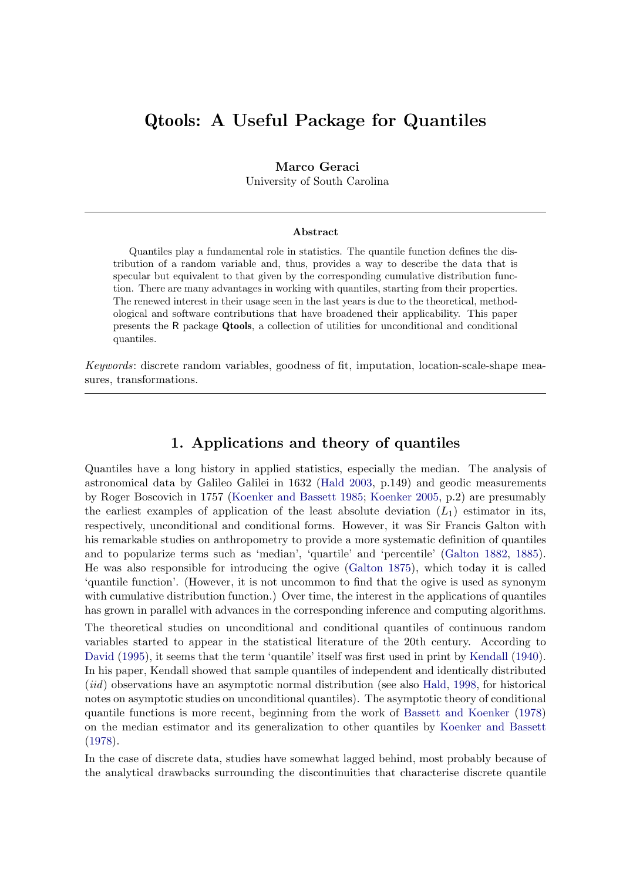# Qtools: A Useful Package for Quantiles

### Marco Geraci

University of South Carolina

#### Abstract

Quantiles play a fundamental role in statistics. The quantile function defines the distribution of a random variable and, thus, provides a way to describe the data that is specular but equivalent to that given by the corresponding cumulative distribution function. There are many advantages in working with quantiles, starting from their properties. The renewed interest in their usage seen in the last years is due to the theoretical, methodological and software contributions that have broadened their applicability. This paper presents the R package Qtools, a collection of utilities for unconditional and conditional quantiles.

Keywords: discrete random variables, goodness of fit, imputation, location-scale-shape measures, transformations.

## 1. Applications and theory of quantiles

Quantiles have a long history in applied statistics, especially the median. The analysis of astronomical data by Galileo Galilei in 1632 [\(Hald](#page-32-0) [2003,](#page-32-0) p.149) and geodic measurements by Roger Boscovich in 1757 [\(Koenker and Bassett](#page-32-1) [1985;](#page-32-1) [Koenker](#page-32-2) [2005,](#page-32-2) p.2) are presumably the earliest examples of application of the least absolute deviation  $(L_1)$  estimator in its, respectively, unconditional and conditional forms. However, it was Sir Francis Galton with his remarkable studies on anthropometry to provide a more systematic definition of quantiles and to popularize terms such as 'median', 'quartile' and 'percentile' [\(Galton](#page-31-0) [1882,](#page-31-0) [1885\)](#page-31-1). He was also responsible for introducing the ogive [\(Galton](#page-31-2) [1875\)](#page-31-2), which today it is called 'quantile function'. (However, it is not uncommon to find that the ogive is used as synonym with cumulative distribution function.) Over time, the interest in the applications of quantiles has grown in parallel with advances in the corresponding inference and computing algorithms.

The theoretical studies on unconditional and conditional quantiles of continuous random variables started to appear in the statistical literature of the 20th century. According to [David](#page-31-3) [\(1995\)](#page-31-3), it seems that the term 'quantile' itself was first used in print by [Kendall](#page-32-3) [\(1940\)](#page-32-3). In his paper, Kendall showed that sample quantiles of independent and identically distributed (iid) observations have an asymptotic normal distribution (see also [Hald,](#page-32-4) [1998,](#page-32-4) for historical notes on asymptotic studies on unconditional quantiles). The asymptotic theory of conditional quantile functions is more recent, beginning from the work of [Bassett and Koenker](#page-30-0) [\(1978\)](#page-30-0) on the median estimator and its generalization to other quantiles by [Koenker and Bassett](#page-32-5) [\(1978\)](#page-32-5).

In the case of discrete data, studies have somewhat lagged behind, most probably because of the analytical drawbacks surrounding the discontinuities that characterise discrete quantile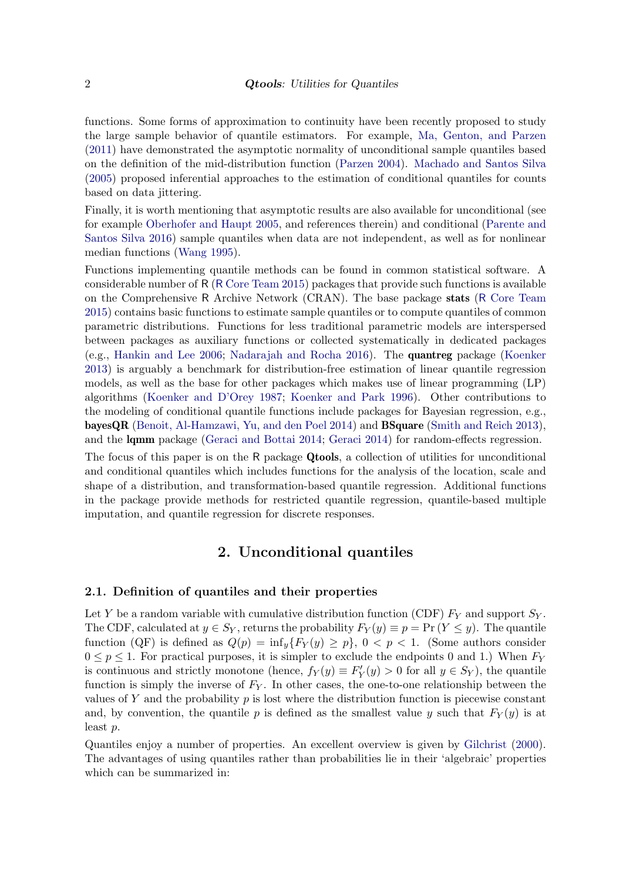functions. Some forms of approximation to continuity have been recently proposed to study the large sample behavior of quantile estimators. For example, [Ma, Genton, and Parzen](#page-33-0) [\(2011\)](#page-33-0) have demonstrated the asymptotic normality of unconditional sample quantiles based on the definition of the mid-distribution function [\(Parzen](#page-33-1) [2004\)](#page-33-1). [Machado and Santos Silva](#page-33-2) [\(2005\)](#page-33-2) proposed inferential approaches to the estimation of conditional quantiles for counts based on data jittering.

Finally, it is worth mentioning that asymptotic results are also available for unconditional (see for example [Oberhofer and Haupt](#page-33-3) [2005,](#page-33-3) and references therein) and conditional [\(Parente and](#page-33-4) [Santos Silva](#page-33-4) [2016\)](#page-33-4) sample quantiles when data are not independent, as well as for nonlinear median functions [\(Wang](#page-34-0) [1995\)](#page-34-0).

Functions implementing quantile methods can be found in common statistical software. A considerable number of R (R [Core Team](#page-34-1) [2015\)](#page-34-1) packages that provide such functions is available on the Comprehensive R Archive Network (CRAN). The base package stats (R [Core Team](#page-34-1) [2015\)](#page-34-1) contains basic functions to estimate sample quantiles or to compute quantiles of common parametric distributions. Functions for less traditional parametric models are interspersed between packages as auxiliary functions or collected systematically in dedicated packages (e.g., [Hankin and Lee](#page-32-6) [2006;](#page-32-6) [Nadarajah and Rocha](#page-33-5) [2016\)](#page-33-5). The quantreg package [\(Koenker](#page-32-7) [2013\)](#page-32-7) is arguably a benchmark for distribution-free estimation of linear quantile regression models, as well as the base for other packages which makes use of linear programming (LP) algorithms [\(Koenker and D'Orey](#page-32-8) [1987;](#page-32-8) [Koenker and Park](#page-33-6) [1996\)](#page-33-6). Other contributions to the modeling of conditional quantile functions include packages for Bayesian regression, e.g., bayesQR [\(Benoit, Al-Hamzawi, Yu, and den Poel](#page-30-1) [2014\)](#page-30-1) and BSquare [\(Smith and Reich](#page-34-2) [2013\)](#page-34-2), and the lqmm package [\(Geraci and Bottai](#page-31-4) [2014;](#page-31-4) [Geraci](#page-31-5) [2014\)](#page-31-5) for random-effects regression.

The focus of this paper is on the R package Qtools, a collection of utilities for unconditional and conditional quantiles which includes functions for the analysis of the location, scale and shape of a distribution, and transformation-based quantile regression. Additional functions in the package provide methods for restricted quantile regression, quantile-based multiple imputation, and quantile regression for discrete responses.

## 2. Unconditional quantiles

### 2.1. Definition of quantiles and their properties

Let Y be a random variable with cumulative distribution function (CDF)  $F_Y$  and support  $S_Y$ . The CDF, calculated at  $y \in S_Y$ , returns the probability  $F_Y(y) \equiv p = \Pr(Y \le y)$ . The quantile function (QF) is defined as  $Q(p) = \inf_y \{F_Y(y) \geq p\}$ ,  $0 < p < 1$ . (Some authors consider  $0 \le p \le 1$ . For practical purposes, it is simpler to exclude the endpoints 0 and 1.) When  $F_Y$ is continuous and strictly monotone (hence,  $f_Y(y) \equiv F'_Y(y) > 0$  for all  $y \in S_Y$ ), the quantile function is simply the inverse of  $F_Y$ . In other cases, the one-to-one relationship between the values of Y and the probability  $p$  is lost where the distribution function is piecewise constant and, by convention, the quantile p is defined as the smallest value y such that  $F_Y(y)$  is at least p.

Quantiles enjoy a number of properties. An excellent overview is given by [Gilchrist](#page-31-6) [\(2000\)](#page-31-6). The advantages of using quantiles rather than probabilities lie in their 'algebraic' properties which can be summarized in: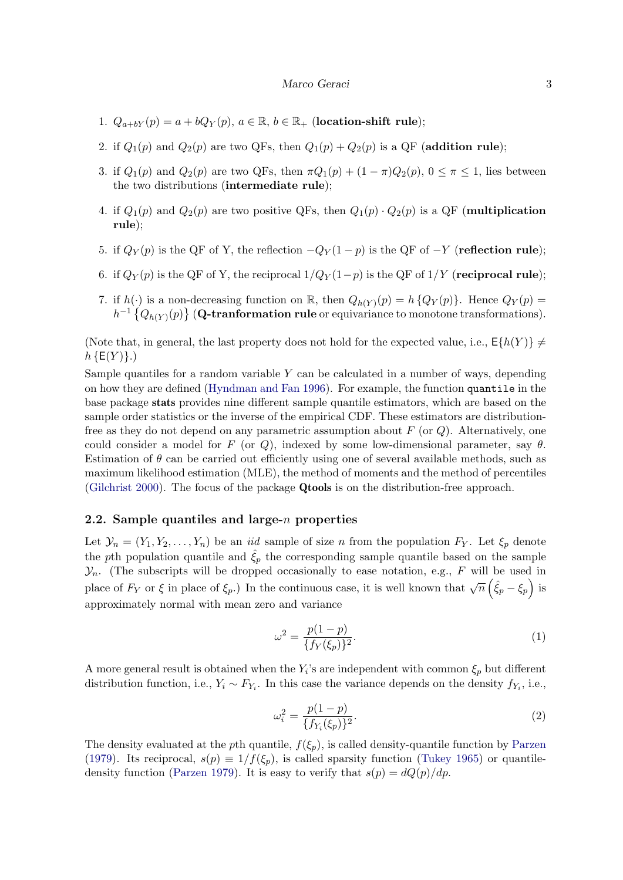- 1.  $Q_{a+bY}(p) = a + bQ_Y(p)$ ,  $a \in \mathbb{R}$ ,  $b \in \mathbb{R}_+$  (location-shift rule);
- 2. if  $Q_1(p)$  and  $Q_2(p)$  are two QFs, then  $Q_1(p) + Q_2(p)$  is a QF (addition rule);
- 3. if  $Q_1(p)$  and  $Q_2(p)$  are two QFs, then  $\pi Q_1(p) + (1 \pi)Q_2(p)$ ,  $0 \le \pi \le 1$ , lies between the two distributions (intermediate rule);
- 4. if  $Q_1(p)$  and  $Q_2(p)$  are two positive QFs, then  $Q_1(p) \cdot Q_2(p)$  is a QF (**multiplication** rule);
- 5. if  $Q_Y(p)$  is the QF of Y, the reflection  $-Q_Y(1-p)$  is the QF of  $-Y$  (**reflection rule**);
- 6. if  $Q_Y(p)$  is the QF of Y, the reciprocal  $1/Q_Y(1-p)$  is the QF of  $1/Y$  (**reciprocal rule**);
- 7. if  $h(\cdot)$  is a non-decreasing function on R, then  $Q_{h(Y)}(p) = h\{Q_Y(p)\}\$ . Hence  $Q_Y(p) = h\{Q_{h(Y)}(p)\}$ .  $h^{-1}\left\{Q_{h(Y)}(p)\right\}$  (Q-tranformation rule or equivariance to monotone transformations).

(Note that, in general, the last property does not hold for the expected value, i.e.,  $E\{h(Y)\}\neq$  $h \{E(Y)\}\.$ 

Sample quantiles for a random variable  $Y$  can be calculated in a number of ways, depending on how they are defined [\(Hyndman and Fan](#page-32-9) [1996\)](#page-32-9). For example, the function quantile in the base package stats provides nine different sample quantile estimators, which are based on the sample order statistics or the inverse of the empirical CDF. These estimators are distributionfree as they do not depend on any parametric assumption about  $F$  (or  $Q$ ). Alternatively, one could consider a model for F (or Q), indexed by some low-dimensional parameter, say  $\theta$ . Estimation of  $\theta$  can be carried out efficiently using one of several available methods, such as maximum likelihood estimation (MLE), the method of moments and the method of percentiles [\(Gilchrist](#page-31-6) [2000\)](#page-31-6). The focus of the package Qtools is on the distribution-free approach.

### 2.2. Sample quantiles and large- $n$  properties

Let  $\mathcal{Y}_n = (Y_1, Y_2, \ldots, Y_n)$  be an *iid* sample of size *n* from the population  $F_Y$ . Let  $\xi_p$  denote the pth population quantile and  $\hat{\xi}_p$  the corresponding sample quantile based on the sample  $\mathcal{Y}_n$ . (The subscripts will be dropped occasionally to ease notation, e.g., F will be used in place of  $F_Y$  or  $\xi$  in place of  $\xi_p$ .) In the continuous case, it is well known that  $\sqrt{n}(\hat{\xi}_p - \xi_p)$  is approximately normal with mean zero and variance

<span id="page-2-0"></span>
$$
\omega^2 = \frac{p(1-p)}{\{f_Y(\xi_p)\}^2}.\tag{1}
$$

A more general result is obtained when the  $Y_i$ 's are independent with common  $\xi_p$  but different distribution function, i.e.,  $Y_i \sim F_{Y_i}$ . In this case the variance depends on the density  $f_{Y_i}$ , i.e.,

$$
\omega_i^2 = \frac{p(1-p)}{\{f_{Y_i}(\xi_p)\}^2}.\tag{2}
$$

The density evaluated at the pth quantile,  $f(\xi_p)$ , is called density-quantile function by [Parzen](#page-33-7) [\(1979\)](#page-33-7). Its reciprocal,  $s(p) \equiv 1/f(\xi_p)$ , is called sparsity function [\(Tukey](#page-34-3) [1965\)](#page-34-3) or quantile-density function [\(Parzen](#page-33-7) [1979\)](#page-33-7). It is easy to verify that  $s(p) = dQ(p)/dp$ .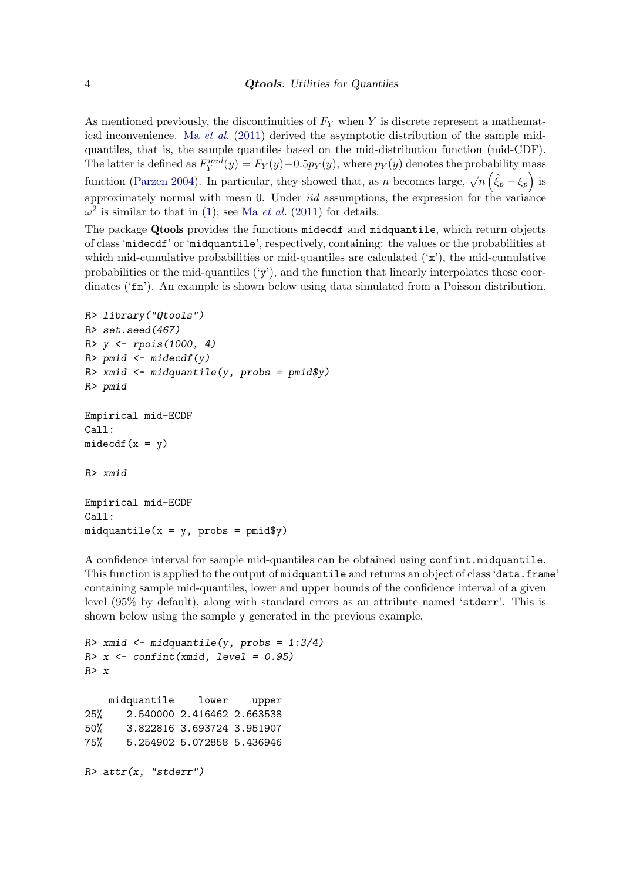As mentioned previously, the discontinuities of  $F<sub>Y</sub>$  when Y is discrete represent a mathematical inconvenience. Ma [et al.](#page-33-0)  $(2011)$  derived the asymptotic distribution of the sample midquantiles, that is, the sample quantiles based on the mid-distribution function (mid-CDF). The latter is defined as  $F_Y^{mid}(y) = F_Y(y) - 0.5p_Y(y)$ , where  $p_Y(y)$  denotes the probability mass function [\(Parzen](#page-33-1) [2004\)](#page-33-1). In particular, they showed that, as n becomes large,  $\sqrt{n}(\hat{\xi}_p - \xi_p)$  is approximately normal with mean 0. Under *iid* assumptions, the expression for the variance  $\omega^2$  is similar to that in [\(1\)](#page-2-0); see Ma *[et al.](#page-33-0)* [\(2011\)](#page-33-0) for details.

The package Qtools provides the functions midecdf and midquantile, which return objects of class 'midecdf' or 'midquantile', respectively, containing: the values or the probabilities at which mid-cumulative probabilities or mid-quantiles are calculated  $('x')$ , the mid-cumulative probabilities or the mid-quantiles  $({\bf v})$ , and the function that linearly interpolates those coordinates ('fn'). An example is shown below using data simulated from a Poisson distribution.

```
R> library("Qtools")
R> set.seed(467)
R> y <- rpois(1000, 4)
R> pmid <- midecdf(y)
R> xmid <- midquantile(y, probs = pmid$y)
R> pmid
Empirical mid-ECDF
Call:
midedf(x = y)R> xmid
Empirical mid-ECDF
Call:
midquantile(x = y, probs = pmid$y)
```
A confidence interval for sample mid-quantiles can be obtained using confint.midquantile. This function is applied to the output of midquantile and returns an object of class 'data.frame' containing sample mid-quantiles, lower and upper bounds of the confidence interval of a given level (95% by default), along with standard errors as an attribute named 'stderr'. This is shown below using the sample y generated in the previous example.

```
R> xmid <- midquantile(y, probs = 1:3/4)
R > x <- confint(xmid, level = 0.95)
R > xmidquantile lower upper
25% 2.540000 2.416462 2.663538
50% 3.822816 3.693724 3.951907
75% 5.254902 5.072858 5.436946
R> attr(x, "stderr")
```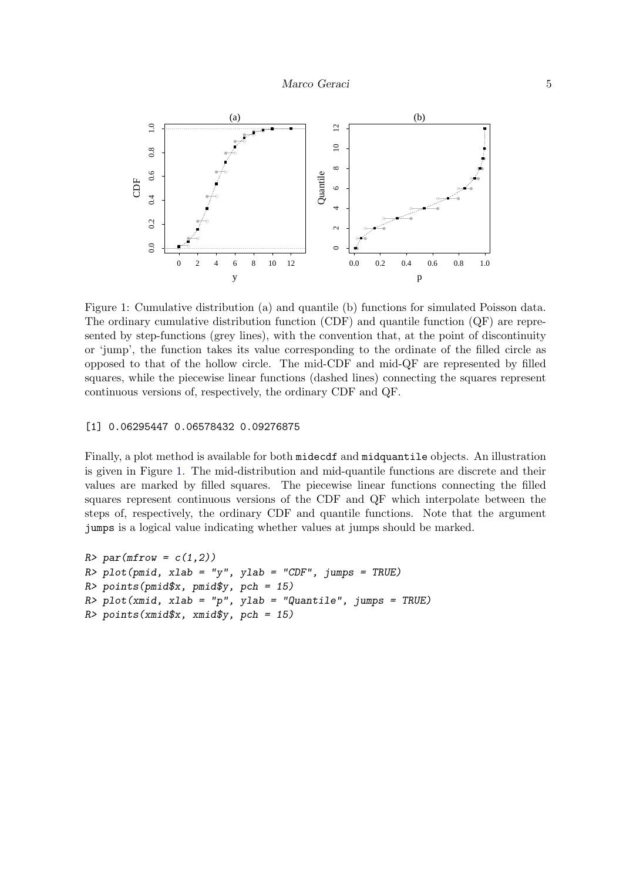

<span id="page-4-0"></span>Figure 1: Cumulative distribution (a) and quantile (b) functions for simulated Poisson data. The ordinary cumulative distribution function (CDF) and quantile function (QF) are represented by step-functions (grey lines), with the convention that, at the point of discontinuity or 'jump', the function takes its value corresponding to the ordinate of the filled circle as opposed to that of the hollow circle. The mid-CDF and mid-QF are represented by filled squares, while the piecewise linear functions (dashed lines) connecting the squares represent continuous versions of, respectively, the ordinary CDF and QF.

#### [1] 0.06295447 0.06578432 0.09276875

Finally, a plot method is available for both midecdf and midquantile objects. An illustration is given in Figure [1.](#page-4-0) The mid-distribution and mid-quantile functions are discrete and their values are marked by filled squares. The piecewise linear functions connecting the filled squares represent continuous versions of the CDF and QF which interpolate between the steps of, respectively, the ordinary CDF and quantile functions. Note that the argument jumps is a logical value indicating whether values at jumps should be marked.

```
R > par(mfrow = c(1,2))R> plot(pmid, xlab = "y", ylab = "CDF", jumps = TRUE)
R> points(pmid$x, pmid$y, pch = 15)
R> plot(xmid, xlab = "p", ylab = "Quantile", jumps = TRUE)
R> points(xmid$x, xmid$y, pch = 15)
```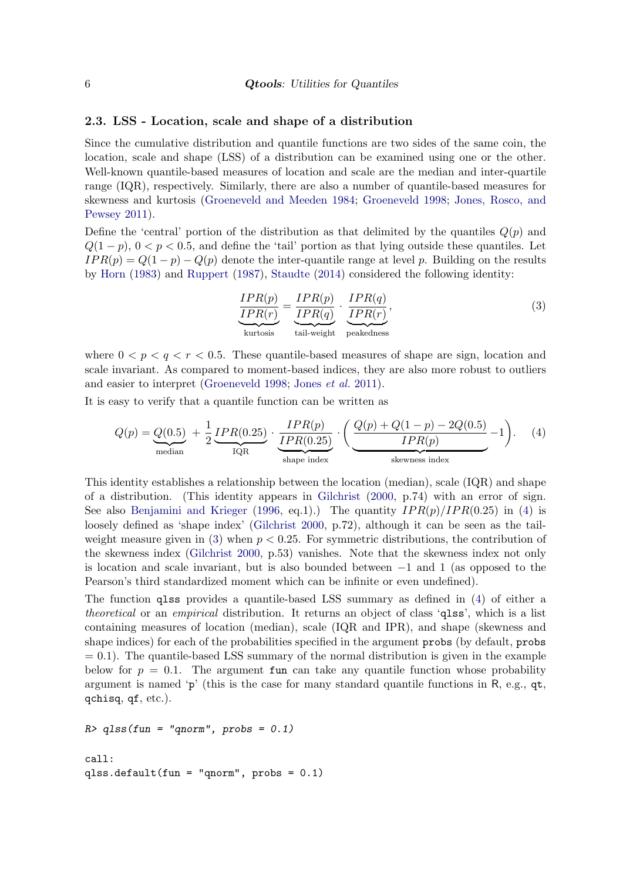#### 2.3. LSS - Location, scale and shape of a distribution

Since the cumulative distribution and quantile functions are two sides of the same coin, the location, scale and shape (LSS) of a distribution can be examined using one or the other. Well-known quantile-based measures of location and scale are the median and inter-quartile range (IQR), respectively. Similarly, there are also a number of quantile-based measures for skewness and kurtosis [\(Groeneveld and Meeden](#page-32-10) [1984;](#page-32-10) [Groeneveld](#page-32-11) [1998;](#page-32-11) [Jones, Rosco, and](#page-32-12) [Pewsey](#page-32-12) [2011\)](#page-32-12).

Define the 'central' portion of the distribution as that delimited by the quantiles  $Q(p)$  and  $Q(1-p)$ ,  $0 < p < 0.5$ , and define the 'tail' portion as that lying outside these quantiles. Let  $IPR(p) = Q(1-p) - Q(p)$  denote the inter-quantile range at level p. Building on the results by [Horn](#page-32-13) [\(1983\)](#page-32-13) and [Ruppert](#page-34-4) [\(1987\)](#page-34-4), [Staudte](#page-34-5) [\(2014\)](#page-34-5) considered the following identity:

<span id="page-5-1"></span><span id="page-5-0"></span>
$$
\underbrace{\frac{IPR(p)}{IPR(r)}}_{\text{kurtosis}} = \underbrace{\frac{IPR(p)}{IPR(q)}}_{\text{tail-weight}} \cdot \underbrace{\frac{IPR(q)}{IPR(r)}}_{\text{peakedness}},
$$
\n(3)

where  $0 < p < q < r < 0.5$ . These quantile-based measures of shape are sign, location and scale invariant. As compared to moment-based indices, they are also more robust to outliers and easier to interpret [\(Groeneveld](#page-32-11) [1998;](#page-32-11) [Jones](#page-32-12) et al. [2011\)](#page-32-12).

It is easy to verify that a quantile function can be written as

$$
Q(p) = Q(0.5) + \frac{1}{2} \underbrace{IPR(0.25)}_{\text{median}} \cdot \underbrace{\frac{IPR(p)}{IPR(0.25)}}_{\text{shape index}} \cdot \underbrace{\left(\frac{Q(p) + Q(1-p) - 2Q(0.5)}{IPR(p)} - 1\right)}_{\text{skewness index}}.
$$
 (4)

This identity establishes a relationship between the location (median), scale (IQR) and shape of a distribution. (This identity appears in [Gilchrist](#page-31-6) [\(2000,](#page-31-6) p.74) with an error of sign. See also [Benjamini and Krieger](#page-30-2) [\(1996,](#page-30-2) eq.1).) The quantity  $IPR(p)/IPR(0.25)$  in [\(4\)](#page-5-0) is loosely defined as 'shape index' [\(Gilchrist](#page-31-6) [2000,](#page-31-6) p.72), although it can be seen as the tailweight measure given in  $(3)$  when  $p < 0.25$ . For symmetric distributions, the contribution of the skewness index [\(Gilchrist](#page-31-6) [2000,](#page-31-6) p.53) vanishes. Note that the skewness index not only is location and scale invariant, but is also bounded between −1 and 1 (as opposed to the Pearson's third standardized moment which can be infinite or even undefined).

The function qlss provides a quantile-based LSS summary as defined in [\(4\)](#page-5-0) of either a theoretical or an empirical distribution. It returns an object of class 'qlss', which is a list containing measures of location (median), scale (IQR and IPR), and shape (skewness and shape indices) for each of the probabilities specified in the argument probs (by default, probs  $= 0.1$ ). The quantile-based LSS summary of the normal distribution is given in the example below for  $p = 0.1$ . The argument fun can take any quantile function whose probability argument is named 'p' (this is the case for many standard quantile functions in R, e.g.,  $qt$ , qchisq, qf, etc.).

```
R > qlss(fun = "qnorm", probs = 0.1)
call:
qlss.default(fun = "qnorm", probs = 0.1)
```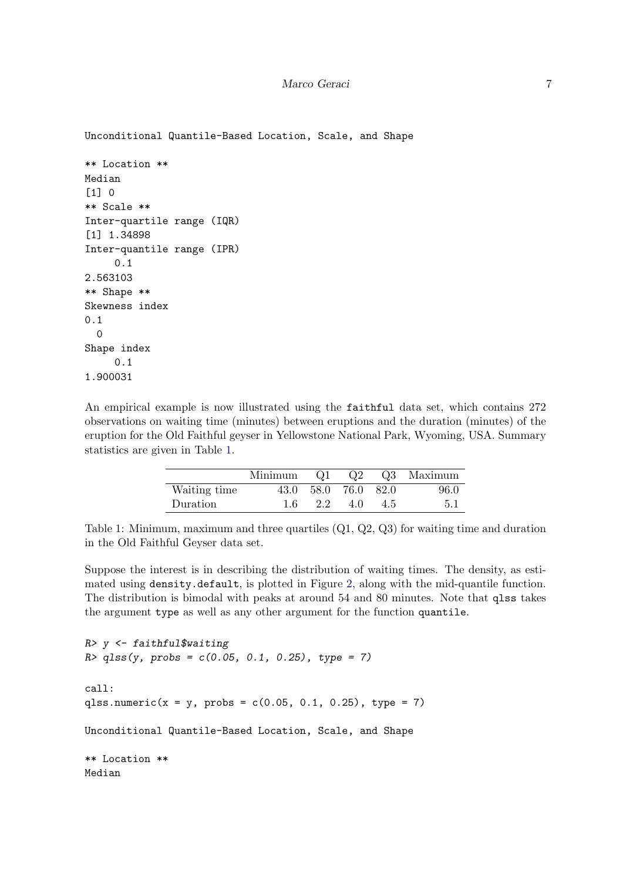Unconditional Quantile-Based Location, Scale, and Shape

```
** Location **
Median
[1] 0
** Scale **
Inter-quartile range (IQR)
[1] 1.34898
Inter-quantile range (IPR)
     0.1
2.563103
** Shape **
Skewness index
0.1
  0
Shape index
     0.1
1.900031
```
An empirical example is now illustrated using the faithful data set, which contains 272 observations on waiting time (minutes) between eruptions and the duration (minutes) of the eruption for the Old Faithful geyser in Yellowstone National Park, Wyoming, USA. Summary statistics are given in Table [1.](#page-6-0)

|              | Minimum | $Q_1$ | Q2        |        | Q3 Maximum |
|--------------|---------|-------|-----------|--------|------------|
| Waiting time | 43.0    |       | 58.0 76.0 | - 82.0 | 96.0       |
| Duration     |         | 22    | 4.0       | 4.5    | 5.1        |

```
Table 1: Minimum, maximum and three quartiles (Q1, Q2, Q3) for waiting time and duration
in the Old Faithful Geyser data set.
```
Suppose the interest is in describing the distribution of waiting times. The density, as estimated using density.default, is plotted in Figure [2,](#page-7-0) along with the mid-quantile function. The distribution is bimodal with peaks at around 54 and 80 minutes. Note that qlss takes the argument type as well as any other argument for the function quantile.

```
R> y <- faithful$waiting
R > q l s s (y, prob s = c(0.05, 0.1, 0.25), type = 7)call:
qlss.numeric(x = y, probs = c(0.05, 0.1, 0.25), type = 7)
Unconditional Quantile-Based Location, Scale, and Shape
** Location **
Median
```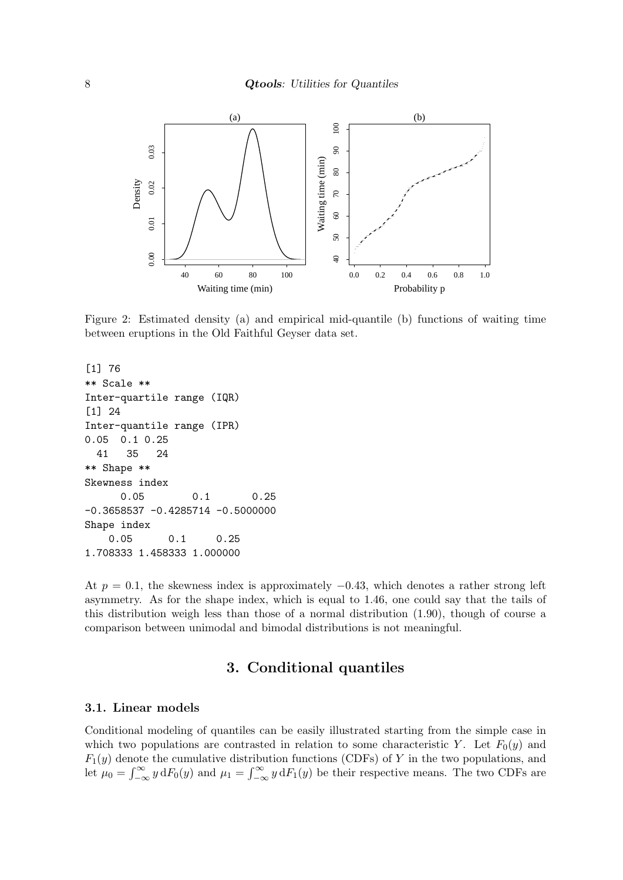

<span id="page-7-0"></span>Figure 2: Estimated density (a) and empirical mid-quantile (b) functions of waiting time between eruptions in the Old Faithful Geyser data set.

```
[1] 76
** Scale **
Inter-quartile range (IQR)
[1] 24
Inter-quantile range (IPR)
0.05 0.1 0.25
 41 35 24
** Shape **
Skewness index
     0.05 0.1 0.25
-0.3658537 -0.4285714 -0.5000000Shape index
   0.05 0.1 0.25
1.708333 1.458333 1.000000
```
At  $p = 0.1$ , the skewness index is approximately  $-0.43$ , which denotes a rather strong left asymmetry. As for the shape index, which is equal to 1.46, one could say that the tails of this distribution weigh less than those of a normal distribution (1.90), though of course a comparison between unimodal and bimodal distributions is not meaningful.

## 3. Conditional quantiles

## <span id="page-7-1"></span>3.1. Linear models

Conditional modeling of quantiles can be easily illustrated starting from the simple case in which two populations are contrasted in relation to some characteristic Y. Let  $F_0(y)$  and  $F_1(y)$  denote the cumulative distribution functions (CDFs) of Y in the two populations, and let  $\mu_0 = \int_{-\infty}^{\infty} y dF_0(y)$  and  $\mu_1 = \int_{-\infty}^{\infty} y dF_1(y)$  be their respective means. The two CDFs are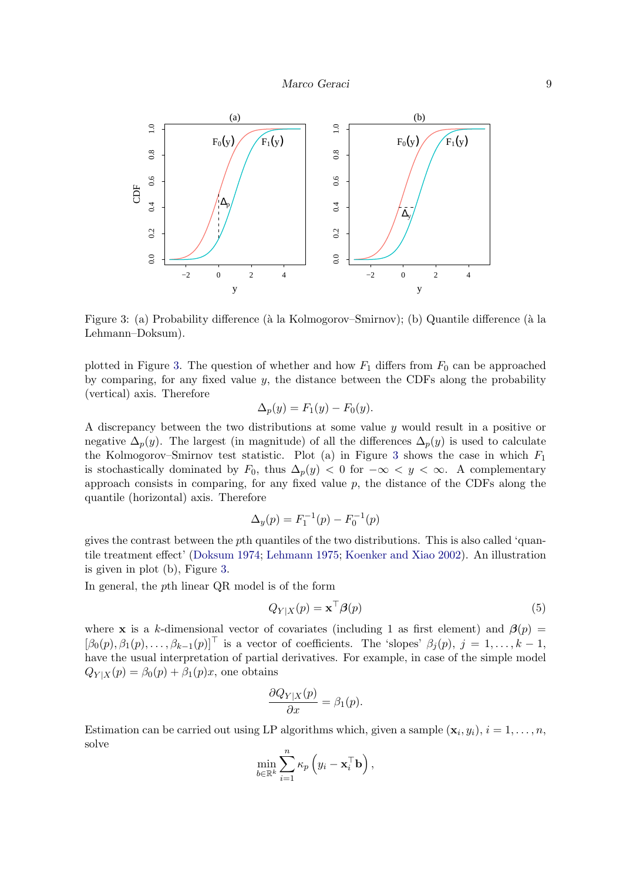

<span id="page-8-0"></span>Figure 3: (a) Probability difference (à la Kolmogorov–Smirnov); (b) Quantile difference (à la Lehmann–Doksum).

plotted in Figure [3.](#page-8-0) The question of whether and how  $F_1$  differs from  $F_0$  can be approached by comparing, for any fixed value  $y$ , the distance between the CDFs along the probability (vertical) axis. Therefore

$$
\Delta_p(y) = F_1(y) - F_0(y).
$$

A discrepancy between the two distributions at some value y would result in a positive or negative  $\Delta_p(y)$ . The largest (in magnitude) of all the differences  $\Delta_p(y)$  is used to calculate the Kolmogorov–Smirnov test statistic. Plot (a) in Figure [3](#page-8-0) shows the case in which  $F_1$ is stochastically dominated by  $F_0$ , thus  $\Delta_p(y) < 0$  for  $-\infty < y < \infty$ . A complementary approach consists in comparing, for any fixed value  $p$ , the distance of the CDFs along the quantile (horizontal) axis. Therefore

$$
\Delta_y(p) = F_1^{-1}(p) - F_0^{-1}(p)
$$

gives the contrast between the pth quantiles of the two distributions. This is also called 'quantile treatment effect' [\(Doksum](#page-31-7) [1974;](#page-31-7) [Lehmann](#page-33-8) [1975;](#page-33-8) [Koenker and Xiao](#page-33-9) [2002\)](#page-33-9). An illustration is given in plot (b), Figure [3.](#page-8-0)

In general, the pth linear QR model is of the form

<span id="page-8-1"></span>
$$
Q_{Y|X}(p) = \mathbf{x}^\top \boldsymbol{\beta}(p) \tag{5}
$$

where x is a k-dimensional vector of covariates (including 1 as first element) and  $\beta(p)$  =  $[\beta_0(p), \beta_1(p), \ldots, \beta_{k-1}(p)]^\top$  is a vector of coefficients. The 'slopes'  $\beta_i(p), j = 1, \ldots, k-1$ , have the usual interpretation of partial derivatives. For example, in case of the simple model  $Q_{Y|X}(p) = \beta_0(p) + \beta_1(p)x$ , one obtains

$$
\frac{\partial Q_{Y|X}(p)}{\partial x} = \beta_1(p).
$$

Estimation can be carried out using LP algorithms which, given a sample  $(\mathbf{x}_i, y_i)$ ,  $i = 1, \ldots, n$ , solve

$$
\min_{b \in \mathbb{R}^k} \sum_{i=1}^n \kappa_p \left( y_i - \mathbf{x}_i^\top \mathbf{b} \right),
$$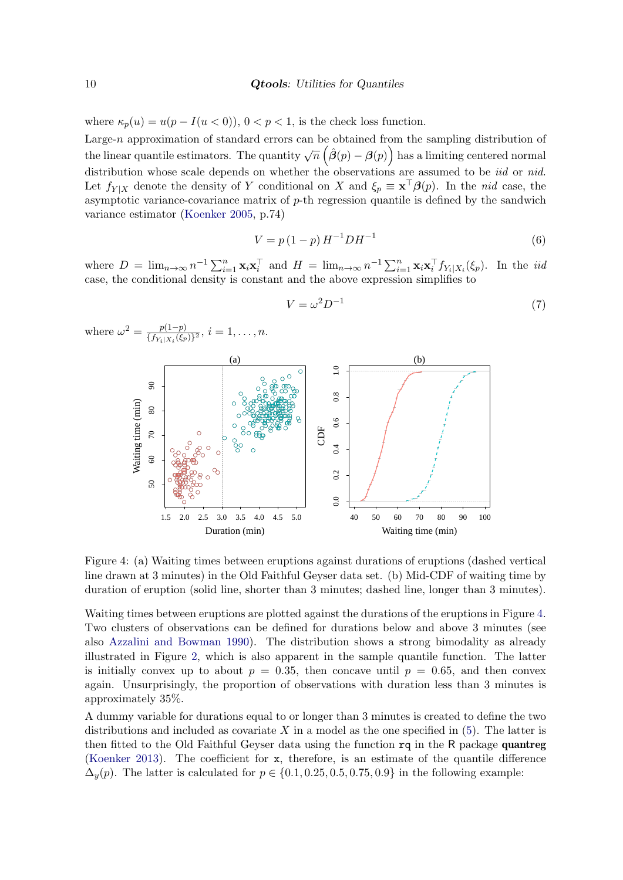#### 10 **Qtools**: Utilities for Quantiles

where  $\kappa_p(u) = u(p - I(u < 0)), 0 < p < 1$ , is the check loss function.

Large-n approximation of standard errors can be obtained from the sampling distribution of the linear quantile estimators. The quantity  $\sqrt{n}$   $(\hat{\beta}(p) - \beta(p))$  has a limiting centered normal distribution whose scale depends on whether the observations are assumed to be *iid* or *nid.* Let  $f_{Y|X}$  denote the density of Y conditional on X and  $\xi_p \equiv \mathbf{x}^\top \boldsymbol{\beta}(p)$ . In the nid case, the asymptotic variance-covariance matrix of  $p$ -th regression quantile is defined by the sandwich variance estimator [\(Koenker](#page-32-2) [2005,](#page-32-2) p.74)

<span id="page-9-1"></span>
$$
V = p(1 - p)H^{-1}DH^{-1}
$$
\n(6)

where  $D = \lim_{n \to \infty} n^{-1} \sum_{i=1}^n \mathbf{x}_i \mathbf{x}_i^{\top}$  and  $H = \lim_{n \to \infty} n^{-1} \sum_{i=1}^n \mathbf{x}_i \mathbf{x}_i^{\top} f_{Y_i|X_i}(\xi_p)$ . In the *iid* case, the conditional density is constant and the above expression simplifies to



$$
V = \omega^2 D^{-1} \tag{7}
$$

<span id="page-9-0"></span>Figure 4: (a) Waiting times between eruptions against durations of eruptions (dashed vertical line drawn at 3 minutes) in the Old Faithful Geyser data set. (b) Mid-CDF of waiting time by duration of eruption (solid line, shorter than 3 minutes; dashed line, longer than 3 minutes).

Waiting times between eruptions are plotted against the durations of the eruptions in Figure [4.](#page-9-0) Two clusters of observations can be defined for durations below and above 3 minutes (see also [Azzalini and Bowman](#page-30-3) [1990\)](#page-30-3). The distribution shows a strong bimodality as already illustrated in Figure [2,](#page-7-0) which is also apparent in the sample quantile function. The latter is initially convex up to about  $p = 0.35$ , then concave until  $p = 0.65$ , and then convex again. Unsurprisingly, the proportion of observations with duration less than 3 minutes is approximately 35%.

A dummy variable for durations equal to or longer than 3 minutes is created to define the two distributions and included as covariate  $X$  in a model as the one specified in  $(5)$ . The latter is then fitted to the Old Faithful Geyser data using the function rq in the R package quantreg [\(Koenker](#page-32-7) [2013\)](#page-32-7). The coefficient for x, therefore, is an estimate of the quantile difference  $\Delta_y(p)$ . The latter is calculated for  $p \in \{0.1, 0.25, 0.5, 0.75, 0.9\}$  in the following example: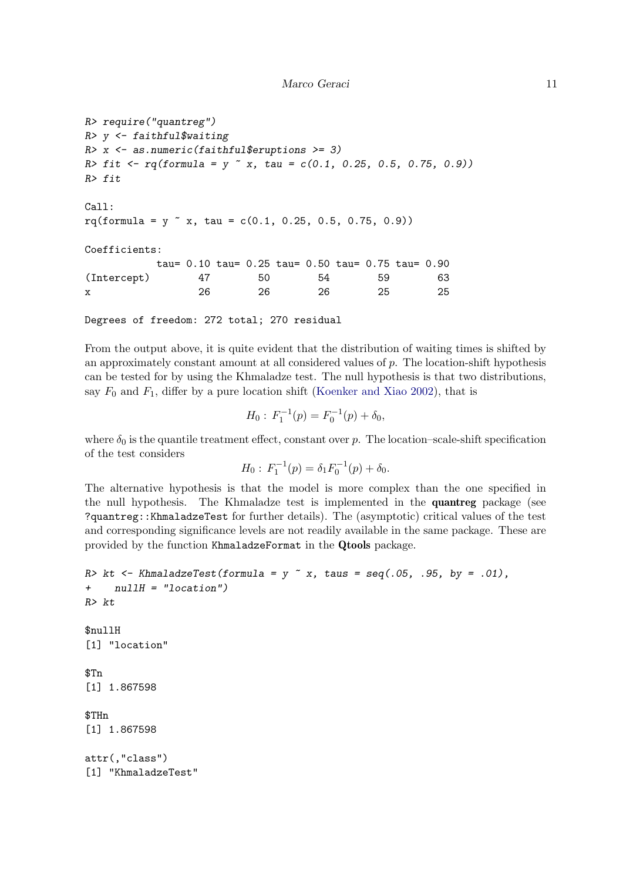#### Marco Geraci  $11$

```
R> require("quantreg")
R> y <- faithful$waiting
R> x <- as.numeric(faithful$eruptions >= 3)
R> fit <- rq(formula = y x, tau = c(0.1, 0.25, 0.5, 0.75, 0.9))R> fit
Call:
rq(formula = y x, tau = c(0.1, 0.25, 0.5, 0.75, 0.9))Coefficients:
         tau= 0.10 tau= 0.25 tau= 0.50 tau= 0.75 tau= 0.90
(Intercept) 47 50 54 59 63
x 26 26 26 25 25
```
Degrees of freedom: 272 total; 270 residual

From the output above, it is quite evident that the distribution of waiting times is shifted by an approximately constant amount at all considered values of p. The location-shift hypothesis can be tested for by using the Khmaladze test. The null hypothesis is that two distributions, say  $F_0$  and  $F_1$ , differ by a pure location shift [\(Koenker and Xiao](#page-33-9) [2002\)](#page-33-9), that is

$$
H_0: F_1^{-1}(p) = F_0^{-1}(p) + \delta_0,
$$

where  $\delta_0$  is the quantile treatment effect, constant over p. The location–scale-shift specification of the test considers

$$
H_0: F_1^{-1}(p) = \delta_1 F_0^{-1}(p) + \delta_0.
$$

The alternative hypothesis is that the model is more complex than the one specified in the null hypothesis. The Khmaladze test is implemented in the quantreg package (see ?quantreg::KhmaladzeTest for further details). The (asymptotic) critical values of the test and corresponding significance levels are not readily available in the same package. These are provided by the function KhmaladzeFormat in the Qtools package.

```
R> kt <- KhmaladzeTest(formula = y \tilde{ } x, taus = seq(.05, .95, by = .01),
+ nullH = "location")
R> kt
$nullH
[1] "location"
$Tn
[1] 1.867598
$THn
[1] 1.867598
attr(,"class")
[1] "KhmaladzeTest"
```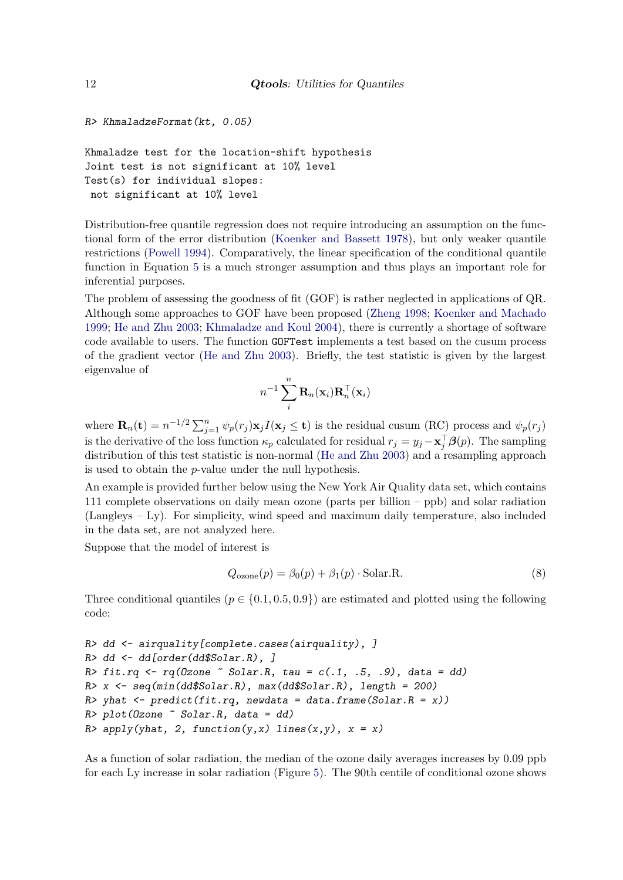```
R> KhmaladzeFormat(kt, 0.05)
```
Khmaladze test for the location-shift hypothesis Joint test is not significant at 10% level Test(s) for individual slopes: not significant at 10% level

Distribution-free quantile regression does not require introducing an assumption on the functional form of the error distribution [\(Koenker and Bassett](#page-32-5) [1978\)](#page-32-5), but only weaker quantile restrictions [\(Powell](#page-34-6) [1994\)](#page-34-6). Comparatively, the linear specification of the conditional quantile function in Equation [5](#page-8-1) is a much stronger assumption and thus plays an important role for inferential purposes.

The problem of assessing the goodness of fit (GOF) is rather neglected in applications of QR. Although some approaches to GOF have been proposed [\(Zheng](#page-34-7) [1998;](#page-34-7) [Koenker and Machado](#page-33-10) [1999;](#page-33-10) [He and Zhu](#page-32-14) [2003;](#page-32-14) [Khmaladze and Koul](#page-32-15) [2004\)](#page-32-15), there is currently a shortage of software code available to users. The function GOFTest implements a test based on the cusum process of the gradient vector [\(He and Zhu](#page-32-14) [2003\)](#page-32-14). Briefly, the test statistic is given by the largest eigenvalue of

$$
n^{-1}\sum_{i}^n\mathbf{R}_n(\mathbf{x}_i)\mathbf{R}_n^\top(\mathbf{x}_i)
$$

where  $\mathbf{R}_n(\mathbf{t}) = n^{-1/2} \sum_{j=1}^n \psi_p(r_j) \mathbf{x}_j I(\mathbf{x}_j \leq \mathbf{t})$  is the residual cusum (RC) process and  $\psi_p(r_j)$ is the derivative of the loss function  $\kappa_p$  calculated for residual  $r_j = y_j - \mathbf{x}_j^{\top} \boldsymbol{\beta}(p)$ . The sampling distribution of this test statistic is non-normal [\(He and Zhu](#page-32-14) [2003\)](#page-32-14) and a resampling approach is used to obtain the p-value under the null hypothesis.

An example is provided further below using the New York Air Quality data set, which contains 111 complete observations on daily mean ozone (parts per billion – ppb) and solar radiation (Langleys – Ly). For simplicity, wind speed and maximum daily temperature, also included in the data set, are not analyzed here.

Suppose that the model of interest is

<span id="page-11-0"></span>
$$
Q_{\text{ozone}}(p) = \beta_0(p) + \beta_1(p) \cdot \text{Solar.R.} \tag{8}
$$

Three conditional quantiles ( $p \in \{0.1, 0.5, 0.9\}$ ) are estimated and plotted using the following code:

```
R> dd <- airquality[complete.cases(airquality), ]
R> dd <- dd[order(dd$Solar.R), ]
R> fit.rq \leq rq(0zone \leq Solar.R, tau = c(.1, .5, .9), data = dd)
R> x <- seq(min(dd$Solar.R), max(dd$Solar.R), length = 200)
R> yhat <- predict(fit.rq, newdata = data.frame(Solar.R = x))
R> plot(Ozone ~ Solar.R, data = dd)
R> apply(yhat, 2, function(y,x) lines(x,y), x = x)
```
As a function of solar radiation, the median of the ozone daily averages increases by 0.09 ppb for each Ly increase in solar radiation (Figure [5\)](#page-12-0). The 90th centile of conditional ozone shows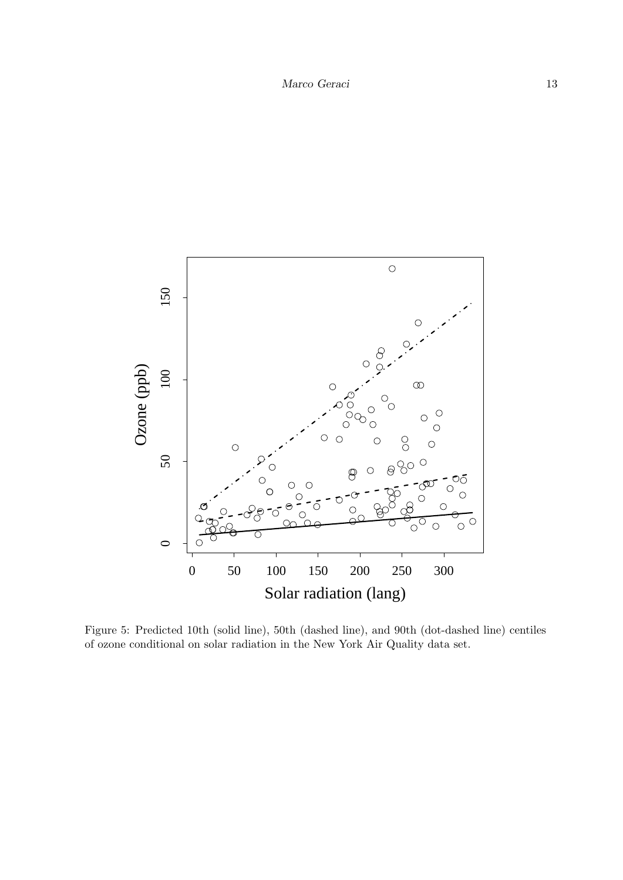

<span id="page-12-0"></span>Figure 5: Predicted 10th (solid line), 50th (dashed line), and 90th (dot-dashed line) centiles of ozone conditional on solar radiation in the New York Air Quality data set.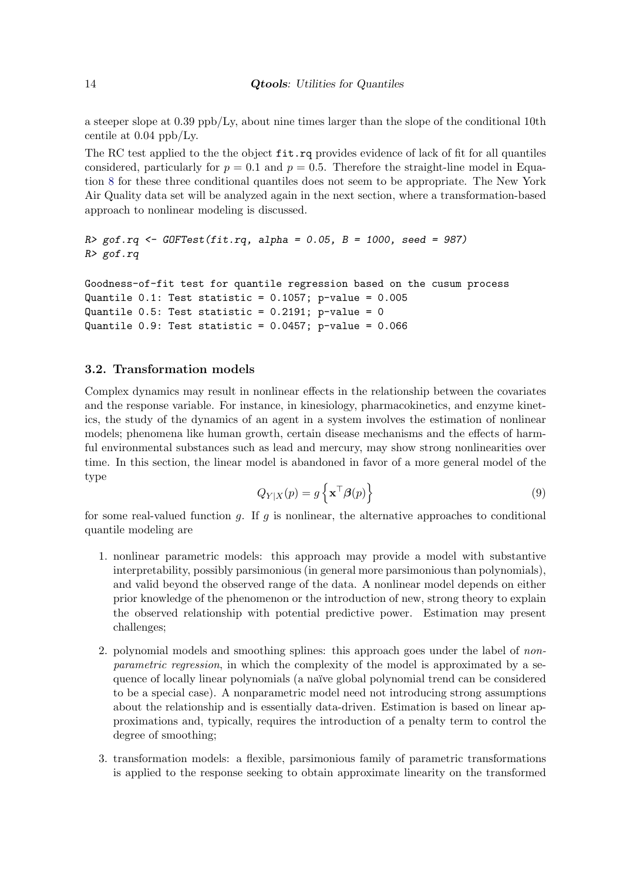a steeper slope at 0.39 ppb/Ly, about nine times larger than the slope of the conditional 10th centile at 0.04 ppb/Ly.

The RC test applied to the the object  $fit.rq$  provides evidence of lack of fit for all quantiles considered, particularly for  $p = 0.1$  and  $p = 0.5$ . Therefore the straight-line model in Equation [8](#page-11-0) for these three conditional quantiles does not seem to be appropriate. The New York Air Quality data set will be analyzed again in the next section, where a transformation-based approach to nonlinear modeling is discussed.

```
R > gof.rq \leftarrow G0FTest(fit.rq, alpha = 0.05, B = 1000, seed = 987)R> gof.rq
```

```
Goodness-of-fit test for quantile regression based on the cusum process
Quantile 0.1: Test statistic = 0.1057; p-value = 0.005Quantile 0.5: Test statistic = 0.2191; p-value = 0
Quantile 0.9: Test statistic = 0.0457; p-value = 0.066
```
## <span id="page-13-0"></span>3.2. Transformation models

Complex dynamics may result in nonlinear effects in the relationship between the covariates and the response variable. For instance, in kinesiology, pharmacokinetics, and enzyme kinetics, the study of the dynamics of an agent in a system involves the estimation of nonlinear models; phenomena like human growth, certain disease mechanisms and the effects of harmful environmental substances such as lead and mercury, may show strong nonlinearities over time. In this section, the linear model is abandoned in favor of a more general model of the type

$$
Q_{Y|X}(p) = g\left\{ \mathbf{x}^\top \boldsymbol{\beta}(p) \right\} \tag{9}
$$

for some real-valued function g. If g is nonlinear, the alternative approaches to conditional quantile modeling are

- 1. nonlinear parametric models: this approach may provide a model with substantive interpretability, possibly parsimonious (in general more parsimonious than polynomials), and valid beyond the observed range of the data. A nonlinear model depends on either prior knowledge of the phenomenon or the introduction of new, strong theory to explain the observed relationship with potential predictive power. Estimation may present challenges;
- 2. polynomial models and smoothing splines: this approach goes under the label of nonparametric regression, in which the complexity of the model is approximated by a sequence of locally linear polynomials (a naïve global polynomial trend can be considered to be a special case). A nonparametric model need not introducing strong assumptions about the relationship and is essentially data-driven. Estimation is based on linear approximations and, typically, requires the introduction of a penalty term to control the degree of smoothing;
- 3. transformation models: a flexible, parsimonious family of parametric transformations is applied to the response seeking to obtain approximate linearity on the transformed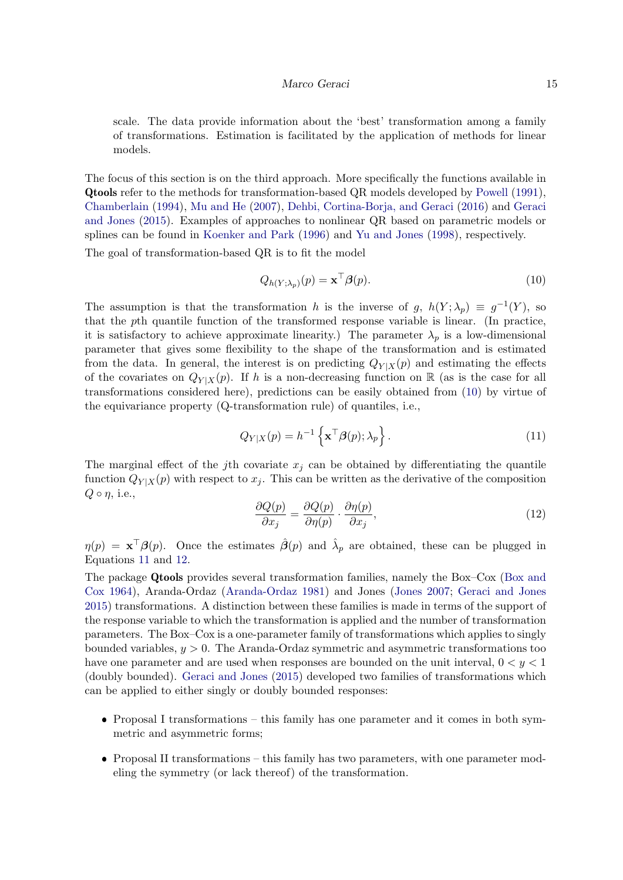#### Marco Geraci 15

scale. The data provide information about the 'best' transformation among a family of transformations. Estimation is facilitated by the application of methods for linear models.

The focus of this section is on the third approach. More specifically the functions available in Qtools refer to the methods for transformation-based QR models developed by [Powell](#page-34-8) [\(1991\)](#page-34-8), [Chamberlain](#page-31-8) [\(1994\)](#page-31-8), [Mu and He](#page-33-11) [\(2007\)](#page-33-11), [Dehbi, Cortina-Borja, and Geraci](#page-31-9) [\(2016\)](#page-31-9) and [Geraci](#page-31-10) [and Jones](#page-31-10) [\(2015\)](#page-31-10). Examples of approaches to nonlinear QR based on parametric models or splines can be found in [Koenker and Park](#page-33-6) [\(1996\)](#page-33-6) and [Yu and Jones](#page-34-9) [\(1998\)](#page-34-9), respectively. The goal of transformation-based QR is to fit the model

<span id="page-14-0"></span>
$$
Q_{h(Y;\lambda_p)}(p) = \mathbf{x}^\top \boldsymbol{\beta}(p). \tag{10}
$$

The assumption is that the transformation h is the inverse of g,  $h(Y; \lambda_p) \equiv g^{-1}(Y)$ , so that the pth quantile function of the transformed response variable is linear. (In practice, it is satisfactory to achieve approximate linearity.) The parameter  $\lambda_p$  is a low-dimensional parameter that gives some flexibility to the shape of the transformation and is estimated from the data. In general, the interest is on predicting  $Q_{Y|X}(p)$  and estimating the effects of the covariates on  $Q_{Y|X}(p)$ . If h is a non-decreasing function on R (as is the case for all transformations considered here), predictions can be easily obtained from [\(10\)](#page-14-0) by virtue of the equivariance property (Q-transformation rule) of quantiles, i.e.,

<span id="page-14-1"></span>
$$
Q_{Y|X}(p) = h^{-1}\left\{ \mathbf{x}^{\top} \boldsymbol{\beta}(p); \lambda_p \right\}.
$$
 (11)

<span id="page-14-2"></span>The marginal effect of the *j*th covariate  $x_i$  can be obtained by differentiating the quantile function  $Q_{Y|X}(p)$  with respect to  $x_j$ . This can be written as the derivative of the composition  $Q \circ \eta$ , i.e.,

$$
\frac{\partial Q(p)}{\partial x_j} = \frac{\partial Q(p)}{\partial \eta(p)} \cdot \frac{\partial \eta(p)}{\partial x_j},\tag{12}
$$

 $\eta(p) = \mathbf{x}^\top \boldsymbol{\beta}(p)$ . Once the estimates  $\hat{\boldsymbol{\beta}}(p)$  and  $\hat{\lambda}_p$  are obtained, these can be plugged in Equations [11](#page-14-1) and [12.](#page-14-2)

The package Qtools provides several transformation families, namely the Box–Cox [\(Box and](#page-31-11) [Cox](#page-31-11) [1964\)](#page-31-11), Aranda-Ordaz [\(Aranda-Ordaz](#page-30-4) [1981\)](#page-30-4) and Jones [\(Jones](#page-32-16) [2007;](#page-32-16) [Geraci and Jones](#page-31-10) [2015\)](#page-31-10) transformations. A distinction between these families is made in terms of the support of the response variable to which the transformation is applied and the number of transformation parameters. The Box–Cox is a one-parameter family of transformations which applies to singly bounded variables,  $y > 0$ . The Aranda-Ordaz symmetric and asymmetric transformations too have one parameter and are used when responses are bounded on the unit interval,  $0 < y < 1$ (doubly bounded). [Geraci and Jones](#page-31-10) [\(2015\)](#page-31-10) developed two families of transformations which can be applied to either singly or doubly bounded responses:

- Proposal I transformations this family has one parameter and it comes in both symmetric and asymmetric forms;
- Proposal II transformations this family has two parameters, with one parameter modeling the symmetry (or lack thereof) of the transformation.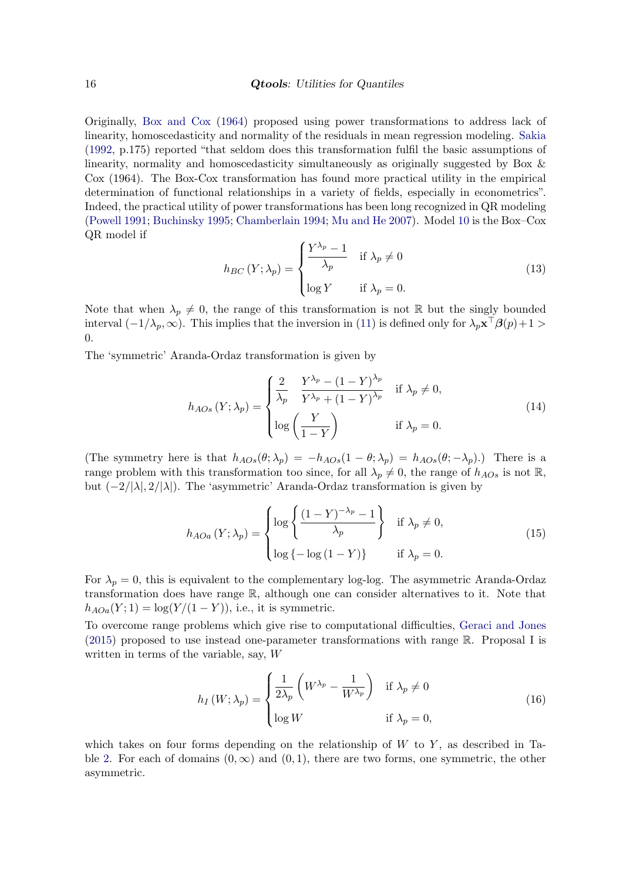Originally, [Box and Cox](#page-31-11) [\(1964\)](#page-31-11) proposed using power transformations to address lack of linearity, homoscedasticity and normality of the residuals in mean regression modeling. [Sakia](#page-34-10) [\(1992,](#page-34-10) p.175) reported "that seldom does this transformation fulfil the basic assumptions of linearity, normality and homoscedasticity simultaneously as originally suggested by Box & Cox (1964). The Box-Cox transformation has found more practical utility in the empirical determination of functional relationships in a variety of fields, especially in econometrics". Indeed, the practical utility of power transformations has been long recognized in QR modeling [\(Powell](#page-34-8) [1991;](#page-34-8) [Buchinsky](#page-31-12) [1995;](#page-31-12) [Chamberlain](#page-31-8) [1994;](#page-31-8) [Mu and He](#page-33-11) [2007\)](#page-33-11). Model [10](#page-14-0) is the Box–Cox QR model if

<span id="page-15-1"></span>
$$
h_{BC}(Y; \lambda_p) = \begin{cases} \frac{Y^{\lambda_p} - 1}{\lambda_p} & \text{if } \lambda_p \neq 0\\ \log Y & \text{if } \lambda_p = 0. \end{cases}
$$
 (13)

Note that when  $\lambda_p \neq 0$ , the range of this transformation is not R but the singly bounded interval  $(-1/\lambda_p, \infty)$ . This implies that the inversion in [\(11\)](#page-14-1) is defined only for  $\lambda_p \mathbf{x}^\top \boldsymbol{\beta}(p) + 1 >$ 0.

The 'symmetric' Aranda-Ordaz transformation is given by

$$
h_{AOs}(Y; \lambda_p) = \begin{cases} \frac{2}{\lambda_p} & \frac{Y^{\lambda_p} - (1 - Y)^{\lambda_p}}{Y^{\lambda_p} + (1 - Y)^{\lambda_p}} & \text{if } \lambda_p \neq 0, \\ \log\left(\frac{Y}{1 - Y}\right) & \text{if } \lambda_p = 0. \end{cases}
$$
(14)

(The symmetry here is that  $h_{AOs}(\theta; \lambda_p) = -h_{AOs}(1-\theta; \lambda_p) = h_{AOs}(\theta; -\lambda_p)$ .) There is a range problem with this transformation too since, for all  $\lambda_p \neq 0$ , the range of  $h_{AOs}$  is not R, but  $(-2/|\lambda|, 2/|\lambda|)$ . The 'asymmetric' Aranda-Ordaz transformation is given by

<span id="page-15-2"></span>
$$
h_{AOa}(Y; \lambda_p) = \begin{cases} \log \left\{ \frac{(1 - Y)^{-\lambda_p} - 1}{\lambda_p} \right\} & \text{if } \lambda_p \neq 0, \\ \log \left\{ -\log \left( 1 - Y \right) \right\} & \text{if } \lambda_p = 0. \end{cases}
$$
 (15)

For  $\lambda_p = 0$ , this is equivalent to the complementary log-log. The asymmetric Aranda-Ordaz transformation does have range R, although one can consider alternatives to it. Note that  $h_{AOa}(Y; 1) = \log(Y/(1 - Y))$ , i.e., it is symmetric.

To overcome range problems which give rise to computational difficulties, [Geraci and Jones](#page-31-10)  $(2015)$  proposed to use instead one-parameter transformations with range R. Proposal I is written in terms of the variable, say, W

<span id="page-15-0"></span>
$$
h_I(W; \lambda_p) = \begin{cases} \frac{1}{2\lambda_p} \left( W^{\lambda_p} - \frac{1}{W^{\lambda_p}} \right) & \text{if } \lambda_p \neq 0\\ \log W & \text{if } \lambda_p = 0, \end{cases}
$$
(16)

which takes on four forms depending on the relationship of  $W$  to  $Y$ , as described in Ta-ble [2.](#page-16-0) For each of domains  $(0, \infty)$  and  $(0, 1)$ , there are two forms, one symmetric, the other asymmetric.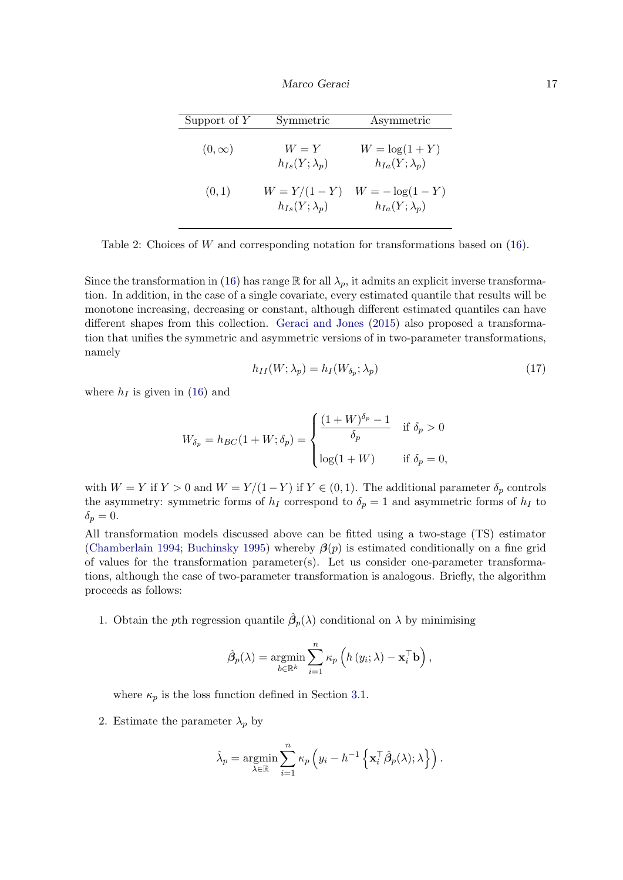| Support of $Y$ | Symmetric                                | Asymmetric                                  |
|----------------|------------------------------------------|---------------------------------------------|
| $(0,\infty)$   | $W = Y$<br>$h_{Is}(Y; \lambda_p)$        | $W = \log(1 + Y)$<br>$h_{Ia}(Y;\lambda_p)$  |
| (0,1)          | $W = Y/(1 - Y)$<br>$h_{Is}(Y;\lambda_n)$ | $W = -\log(1 - Y)$<br>$h_{Ia}(Y;\lambda_p)$ |

<span id="page-16-0"></span>Table 2: Choices of W and corresponding notation for transformations based on [\(16\)](#page-15-0).

Since the transformation in [\(16\)](#page-15-0) has range R for all  $\lambda_p$ , it admits an explicit inverse transformation. In addition, in the case of a single covariate, every estimated quantile that results will be monotone increasing, decreasing or constant, although different estimated quantiles can have different shapes from this collection. [Geraci and Jones](#page-31-10) [\(2015\)](#page-31-10) also proposed a transformation that unifies the symmetric and asymmetric versions of in two-parameter transformations, namely

$$
h_{II}(W; \lambda_p) = h_I(W_{\delta_p}; \lambda_p) \tag{17}
$$

where  $h_I$  is given in [\(16\)](#page-15-0) and

$$
W_{\delta_p} = h_{BC}(1 + W; \delta_p) = \begin{cases} \frac{(1 + W)^{\delta_p} - 1}{\delta_p} & \text{if } \delta_p > 0\\ \log(1 + W) & \text{if } \delta_p = 0, \end{cases}
$$

with  $W = Y$  if  $Y > 0$  and  $W = Y/(1 - Y)$  if  $Y \in (0, 1)$ . The additional parameter  $\delta_p$  controls the asymmetry: symmetric forms of  $h_I$  correspond to  $\delta_p = 1$  and asymmetric forms of  $h_I$  to  $\delta_p = 0.$ 

All transformation models discussed above can be fitted using a two-stage (TS) estimator [\(Chamberlain](#page-31-8) [1994;](#page-31-8) [Buchinsky](#page-31-12) [1995\)](#page-31-12) whereby  $\mathcal{G}(p)$  is estimated conditionally on a fine grid of values for the transformation parameter(s). Let us consider one-parameter transformations, although the case of two-parameter transformation is analogous. Briefly, the algorithm proceeds as follows:

1. Obtain the pth regression quantile  $\hat{\beta}_p(\lambda)$  conditional on  $\lambda$  by minimising

$$
\hat{\beta}_p(\lambda) = \operatorname*{argmin}_{b \in \mathbb{R}^k} \sum_{i=1}^n \kappa_p \left( h(y_i; \lambda) - \mathbf{x}_i^{\top} \mathbf{b} \right),
$$

where  $\kappa_p$  is the loss function defined in Section [3.1.](#page-7-1)

2. Estimate the parameter  $\lambda_p$  by

$$
\hat{\lambda}_p = \operatorname*{argmin}_{\lambda \in \mathbb{R}} \sum_{i=1}^n \kappa_p \left( y_i - h^{-1} \left\{ \mathbf{x}_i^{\top} \hat{\beta}_p(\lambda); \lambda \right\} \right).
$$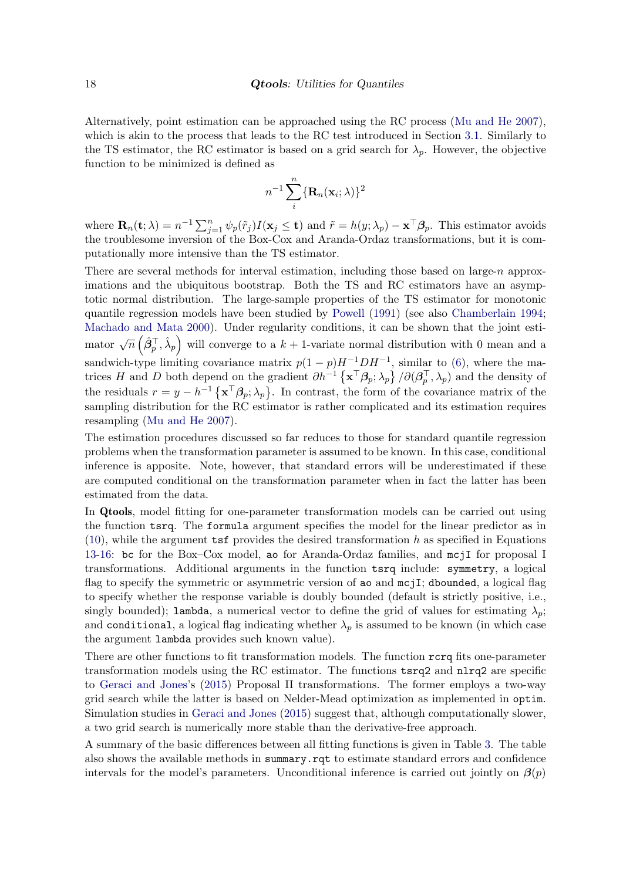Alternatively, point estimation can be approached using the RC process [\(Mu and He](#page-33-11) [2007\)](#page-33-11), which is akin to the process that leads to the RC test introduced in Section [3.1.](#page-7-1) Similarly to the TS estimator, the RC estimator is based on a grid search for  $\lambda_p$ . However, the objective function to be minimized is defined as

$$
n^{-1}\sum_{i}^{n}\{\mathbf{R}_n(\mathbf{x}_i;\lambda)\}^2
$$

where  $\mathbf{R}_n(\mathbf{t}; \lambda) = n^{-1} \sum_{j=1}^n \psi_p(\tilde{r}_j) I(\mathbf{x}_j \leq \mathbf{t})$  and  $\tilde{r} = h(y; \lambda_p) - \mathbf{x}^\top \boldsymbol{\beta}_p$ . This estimator avoids the troublesome inversion of the Box-Cox and Aranda-Ordaz transformations, but it is computationally more intensive than the TS estimator.

There are several methods for interval estimation, including those based on large-n approximations and the ubiquitous bootstrap. Both the TS and RC estimators have an asymptotic normal distribution. The large-sample properties of the TS estimator for monotonic quantile regression models have been studied by [Powell](#page-34-8) [\(1991\)](#page-34-8) (see also [Chamberlain](#page-31-8) [1994;](#page-31-8) [Machado and Mata](#page-33-12) [2000\)](#page-33-12). Under regularity conditions, it can be shown that the joint estimator  $\sqrt{n}$   $(\hat{\beta}_p^{\top}, \hat{\lambda}_p)$  will converge to a  $k + 1$ -variate normal distribution with 0 mean and a sandwich-type limiting covariance matrix  $p(1-p)H^{-1}DH^{-1}$ , similar to [\(6\)](#page-9-1), where the matrices H and D both depend on the gradient  $\partial h^{-1} \{ \mathbf{x}^{\top} \boldsymbol{\beta}_p; \lambda_p \} / \partial(\boldsymbol{\beta}_p^{\top}, \lambda_p)$  and the density of the residuals  $r = y - h^{-1} \{ \mathbf{x}^{\top} \beta_p; \lambda_p \}$ . In contrast, the form of the covariance matrix of the sampling distribution for the RC estimator is rather complicated and its estimation requires resampling [\(Mu and He](#page-33-11) [2007\)](#page-33-11).

The estimation procedures discussed so far reduces to those for standard quantile regression problems when the transformation parameter is assumed to be known. In this case, conditional inference is apposite. Note, however, that standard errors will be underestimated if these are computed conditional on the transformation parameter when in fact the latter has been estimated from the data.

In Qtools, model fitting for one-parameter transformation models can be carried out using the function tsrq. The formula argument specifies the model for the linear predictor as in  $(10)$ , while the argument tsf provides the desired transformation h as specified in Equations [13-](#page-15-1)[16:](#page-15-0) bc for the Box–Cox model, ao for Aranda-Ordaz families, and mcjI for proposal I transformations. Additional arguments in the function tsrq include: symmetry, a logical flag to specify the symmetric or asymmetric version of ao and mcjI; dbounded, a logical flag to specify whether the response variable is doubly bounded (default is strictly positive, i.e., singly bounded); lambda, a numerical vector to define the grid of values for estimating  $\lambda_p$ ; and conditional, a logical flag indicating whether  $\lambda_p$  is assumed to be known (in which case the argument lambda provides such known value).

There are other functions to fit transformation models. The function rcrq fits one-parameter transformation models using the RC estimator. The functions tsrq2 and nlrq2 are specific to [Geraci and Jones'](#page-31-10)s [\(2015\)](#page-31-10) Proposal II transformations. The former employs a two-way grid search while the latter is based on Nelder-Mead optimization as implemented in optim. Simulation studies in [Geraci and Jones](#page-31-10) [\(2015\)](#page-31-10) suggest that, although computationally slower, a two grid search is numerically more stable than the derivative-free approach.

A summary of the basic differences between all fitting functions is given in Table [3.](#page-18-0) The table also shows the available methods in summary.rqt to estimate standard errors and confidence intervals for the model's parameters. Unconditional inference is carried out jointly on  $\beta(p)$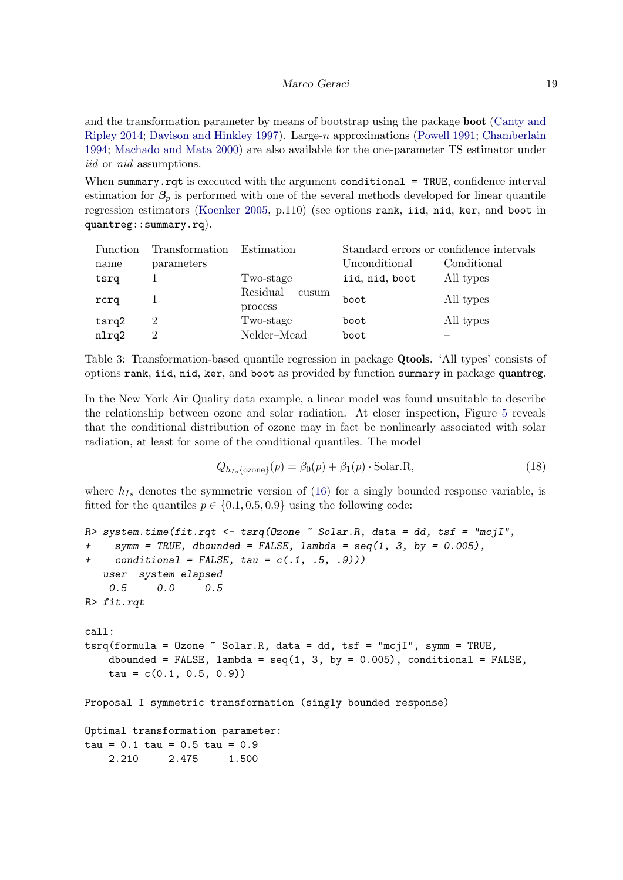#### Marco Geraci 19

and the transformation parameter by means of bootstrap using the package **boot** [\(Canty and](#page-31-13) [Ripley](#page-31-13) [2014;](#page-31-13) [Davison and Hinkley](#page-31-14) [1997\)](#page-31-14). Large-n approximations [\(Powell](#page-34-8) [1991;](#page-34-8) [Chamberlain](#page-31-8) [1994;](#page-31-8) [Machado and Mata](#page-33-12) [2000\)](#page-33-12) are also available for the one-parameter TS estimator under iid or nid assumptions.

When summary.rqt is executed with the argument conditional = TRUE, confidence interval estimation for  $\beta_p$  is performed with one of the several methods developed for linear quantile regression estimators [\(Koenker](#page-32-2) [2005,](#page-32-2) p.110) (see options rank, iid, nid, ker, and boot in quantreg::summary.rq).

| Function | Transformation | Standard errors or confidence intervals<br>Estimation |                |             |
|----------|----------------|-------------------------------------------------------|----------------|-------------|
| name     | parameters     |                                                       | Unconditional  | Conditional |
| tsrq     |                | Two-stage                                             | iid, nid, boot | All types   |
| rcrq     |                | Residual<br>cusum<br>process                          | boot           | All types   |
| tsrq2    | 2              | Two-stage                                             | boot           | All types   |
| nlrq2    | 2              | Nelder-Mead                                           | boot           |             |

<span id="page-18-0"></span>Table 3: Transformation-based quantile regression in package Qtools. 'All types' consists of options rank, iid, nid, ker, and boot as provided by function summary in package quantreg.

In the New York Air Quality data example, a linear model was found unsuitable to describe the relationship between ozone and solar radiation. At closer inspection, Figure [5](#page-12-0) reveals that the conditional distribution of ozone may in fact be nonlinearly associated with solar radiation, at least for some of the conditional quantiles. The model

<span id="page-18-1"></span>
$$
Q_{h_{Is}\{\text{ozone}\}}(p) = \beta_0(p) + \beta_1(p) \cdot \text{Solar.R},\tag{18}
$$

where  $h_{Is}$  denotes the symmetric version of [\(16\)](#page-15-0) for a singly bounded response variable, is fitted for the quantiles  $p \in \{0.1, 0.5, 0.9\}$  using the following code:

```
R> system.time(fit.rqt <- tsrq(0zone \tilde{ } Solar.R, data = dd, tsf = "mcjI",
+ symm = TRUE, dbounded = FALSE, lambda = seq(1, 3, by = 0.005),
     conditional = FALSE, tau = c(.1, .5, .9)))user system elapsed
    0.5 0.0 0.5
R> fit.rqt
call:
tsrq(formula = Ozone \texttt{'''} Solar.R, data = dd, tsf = "mcjI", symm = TRUE,dbounded = FALSE, lambda = seq(1, 3, by = 0.005), conditional = FALSE,
    tau = c(0.1, 0.5, 0.9)Proposal I symmetric transformation (singly bounded response)
Optimal transformation parameter:
tau = 0.1 \tauau = 0.5 tau = 0.92.210 2.475 1.500
```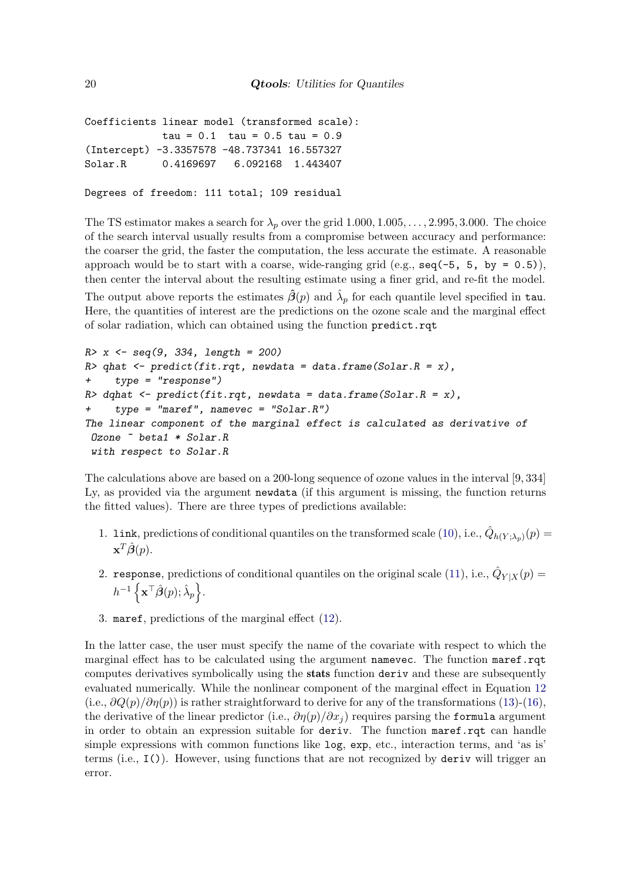```
Coefficients linear model (transformed scale):
            tau = 0.1 tau = 0.5 tau = 0.9
(Intercept) -3.3357578 -48.737341 16.557327
Solar.R 0.4169697 6.092168 1.443407
```

```
Degrees of freedom: 111 total; 109 residual
```
The TS estimator makes a search for  $\lambda_p$  over the grid 1.000, 1.005, ..., 2.995, 3.000. The choice of the search interval usually results from a compromise between accuracy and performance: the coarser the grid, the faster the computation, the less accurate the estimate. A reasonable approach would be to start with a coarse, wide-ranging grid (e.g.,  $\text{seq}(-5, 5, \text{ by } = 0.5)$ ), then center the interval about the resulting estimate using a finer grid, and re-fit the model. The output above reports the estimates  $\hat{\beta}(p)$  and  $\hat{\lambda}_p$  for each quantile level specified in tau. Here, the quantities of interest are the predictions on the ozone scale and the marginal effect of solar radiation, which can obtained using the function predict.rqt

```
R > x <- seq(9, 334, length = 200)
R> qhat \leq predict(fit.rqt, newdata = data.frame(Solar.R = x),
     type = "response")R> dqhat <- predict(fit.rqt, newdata = data.frame(Solar.R = x),
     type = "maret", namevec = "Solar.R")The linear component of the marginal effect is calculated as derivative of
Ozone ~ beta1 * Solar.R
 with respect to Solar.R
```
The calculations above are based on a 200-long sequence of ozone values in the interval [9, 334] Ly, as provided via the argument newdata (if this argument is missing, the function returns the fitted values). There are three types of predictions available:

- 1. Link, predictions of conditional quantiles on the transformed scale [\(10\)](#page-14-0), i.e.,  $\hat{Q}_{h(Y;\lambda_p)}(p) =$  $\mathbf{x}^T\hat{\boldsymbol{\beta}}(p).$
- 2. response, predictions of conditional quantiles on the original scale [\(11\)](#page-14-1), i.e.,  $\hat{Q}_{Y|X}(p)$  =  $h^{-1}\left\{\mathbf{x}^{\top}\hat{\boldsymbol{\beta}}(p);\hat{\lambda}_{p}\right\}.$
- 3. maref, predictions of the marginal effect [\(12\)](#page-14-2).

In the latter case, the user must specify the name of the covariate with respect to which the marginal effect has to be calculated using the argument namevec. The function maref.rqt computes derivatives symbolically using the stats function deriv and these are subsequently evaluated numerically. While the nonlinear component of the marginal effect in Equation [12](#page-14-2) (i.e.,  $\partial Q(p)/\partial \eta(p)$ ) is rather straightforward to derive for any of the transformations [\(13\)](#page-15-1)-[\(16\)](#page-15-0), the derivative of the linear predictor (i.e.,  $\partial \eta(p)/\partial x_i$ ) requires parsing the formula argument in order to obtain an expression suitable for deriv. The function maref.rqt can handle simple expressions with common functions like log, exp, etc., interaction terms, and 'as is' terms  $(i.e., 1())$ . However, using functions that are not recognized by deriv will trigger an error.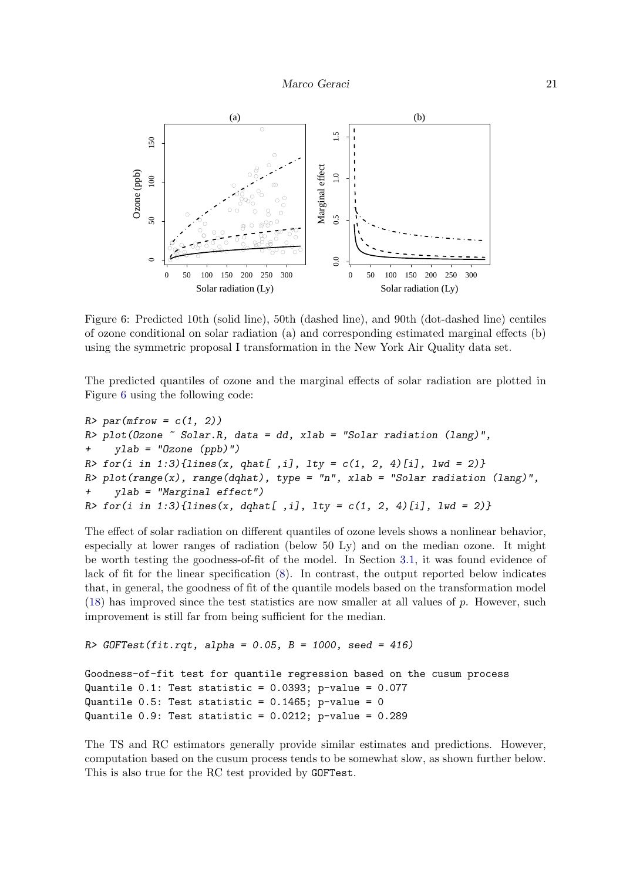

<span id="page-20-0"></span>Figure 6: Predicted 10th (solid line), 50th (dashed line), and 90th (dot-dashed line) centiles of ozone conditional on solar radiation (a) and corresponding estimated marginal effects (b) using the symmetric proposal I transformation in the New York Air Quality data set.

The predicted quantiles of ozone and the marginal effects of solar radiation are plotted in Figure [6](#page-20-0) using the following code:

```
R> par(mfrow = c(1, 2))
R> plot(Ozone \tilde{ } Solar.R, data = dd, xlab = "Solar radiation (lang)",
     ylab = "Ozone (ppb)")R> for(i in 1:3){lines(x, qhat[,i], lty = c(1, 2, 4)[i], lwd = 2)}
R> plot(range(x), range(dqhat), type = "n", xlab = "Solar radiation (lang)",
     ylab = "Marginal effect")
R> for(i in 1:3){lines(x, dqhat[,i], lty = c(1, 2, 4)[i], lwd = 2)}
```
The effect of solar radiation on different quantiles of ozone levels shows a nonlinear behavior, especially at lower ranges of radiation (below 50 Ly) and on the median ozone. It might be worth testing the goodness-of-fit of the model. In Section [3.1,](#page-7-1) it was found evidence of lack of fit for the linear specification [\(8\)](#page-11-0). In contrast, the output reported below indicates that, in general, the goodness of fit of the quantile models based on the transformation model  $(18)$  has improved since the test statistics are now smaller at all values of p. However, such improvement is still far from being sufficient for the median.

```
R GOFTest(fit.rqt, alpha = 0.05, B = 1000, seed = 416)
```

```
Goodness-of-fit test for quantile regression based on the cusum process
Quantile 0.1: Test statistic = 0.0393; p-value = 0.077Quantile 0.5: Test statistic = 0.1465; p-value = 0
Quantile 0.9: Test statistic = 0.0212; p-value = 0.289
```
The TS and RC estimators generally provide similar estimates and predictions. However, computation based on the cusum process tends to be somewhat slow, as shown further below. This is also true for the RC test provided by GOFTest.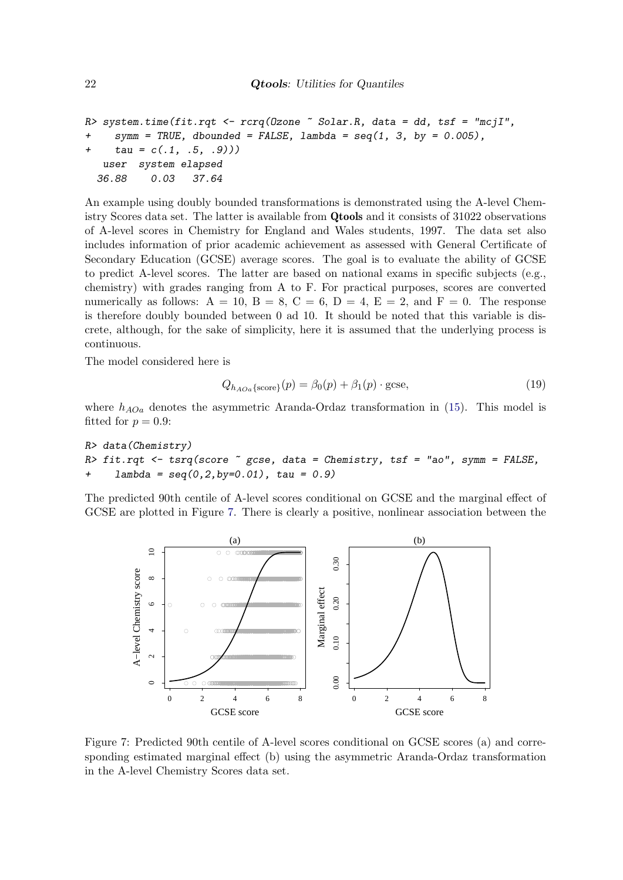```
R> system.time(fit.rqt <- rcrq(0zone \tilde{ } Solar.R, data = dd, tsf = "mcjI",
+ symm = TRUE, dbounded = FALSE, lambda = seq(1, 3, by = 0.005),
     tau = c(.1, .5, .9))user system elapsed
  36.88 0.03 37.64
```
An example using doubly bounded transformations is demonstrated using the A-level Chemistry Scores data set. The latter is available from Qtools and it consists of 31022 observations of A-level scores in Chemistry for England and Wales students, 1997. The data set also includes information of prior academic achievement as assessed with General Certificate of Secondary Education (GCSE) average scores. The goal is to evaluate the ability of GCSE to predict A-level scores. The latter are based on national exams in specific subjects (e.g., chemistry) with grades ranging from A to F. For practical purposes, scores are converted numerically as follows:  $A = 10$ ,  $B = 8$ ,  $C = 6$ ,  $D = 4$ ,  $E = 2$ , and  $F = 0$ . The response is therefore doubly bounded between 0 ad 10. It should be noted that this variable is discrete, although, for the sake of simplicity, here it is assumed that the underlying process is continuous.

The model considered here is

$$
Q_{h_{AOa}\{\text{score}\}}(p) = \beta_0(p) + \beta_1(p) \cdot \text{gcse},\tag{19}
$$

where  $h_{AOa}$  denotes the asymmetric Aranda-Ordaz transformation in [\(15\)](#page-15-2). This model is fitted for  $p = 0.9$ :

```
R> data(Chemistry)
R> fit.rqt <- tsrq(score \tilde{ } gcse, data = Chemistry, tsf = "ao", symm = FALSE,
     lambda = seq(0, 2, by=0.01), tau = 0.9)
```
The predicted 90th centile of A-level scores conditional on GCSE and the marginal effect of GCSE are plotted in Figure [7.](#page-21-0) There is clearly a positive, nonlinear association between the



<span id="page-21-0"></span>Figure 7: Predicted 90th centile of A-level scores conditional on GCSE scores (a) and corresponding estimated marginal effect (b) using the asymmetric Aranda-Ordaz transformation in the A-level Chemistry Scores data set.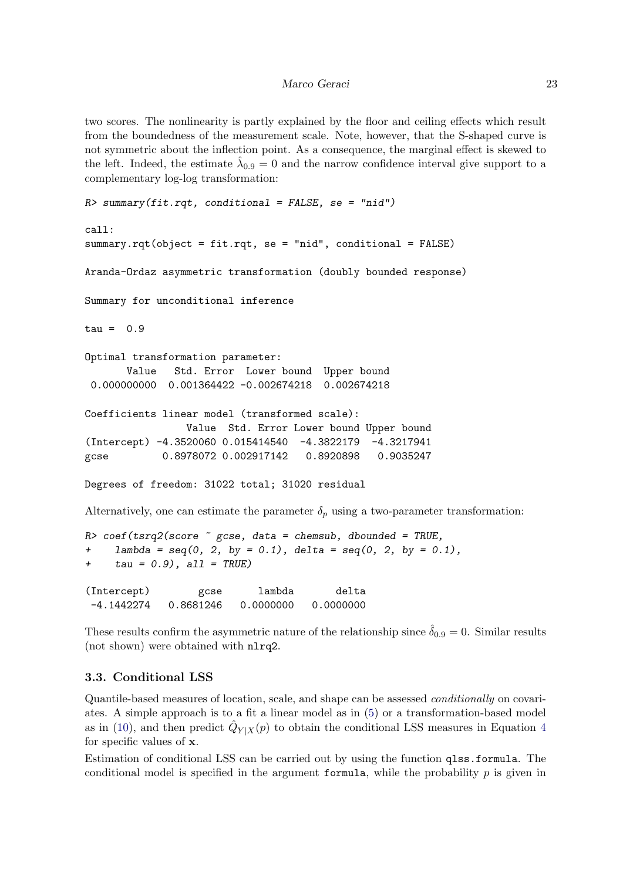two scores. The nonlinearity is partly explained by the floor and ceiling effects which result from the boundedness of the measurement scale. Note, however, that the S-shaped curve is not symmetric about the inflection point. As a consequence, the marginal effect is skewed to the left. Indeed, the estimate  $\hat{\lambda}_{0.9} = 0$  and the narrow confidence interval give support to a complementary log-log transformation:

```
R> summary(fit.rqt, conditional = FALSE, se = "nid")
call:
summary.rqt(object = fit.rqt, se = "nid", conditional = FALSE)
Aranda-Ordaz asymmetric transformation (doubly bounded response)
Summary for unconditional inference
tau = 0.9Optimal transformation parameter:
       Value Std. Error Lower bound Upper bound
 0.000000000 0.001364422 -0.002674218 0.002674218
Coefficients linear model (transformed scale):
                 Value Std. Error Lower bound Upper bound
(Intercept) -4.3520060 0.015414540 -4.3822179 -4.3217941
gcse 0.8978072 0.002917142 0.8920898 0.9035247
Degrees of freedom: 31022 total; 31020 residual
Alternatively, one can estimate the parameter \delta_p using a two-parameter transformation:
R> coef(tsrq2(score \tilde{ } gcse, data = chemsub, dbounded = TRUE,
+ lambda = seq(0, 2, by = 0.1), delta = seq(0, 2, by = 0.1),
+ tau = 0.9, all = TRUE)
```
(Intercept) gcse lambda delta -4.1442274 0.8681246 0.0000000 0.0000000

These results confirm the asymmetric nature of the relationship since  $\hat{\delta}_{0.9} = 0$ . Similar results (not shown) were obtained with nlrq2.

### 3.3. Conditional LSS

Quantile-based measures of location, scale, and shape can be assessed conditionally on covariates. A simple approach is to a fit a linear model as in [\(5\)](#page-8-1) or a transformation-based model as in [\(10\)](#page-14-0), and then predict  $\hat{Q}_{Y|X}(p)$  to obtain the conditional LSS measures in Equation [4](#page-5-0) for specific values of x.

Estimation of conditional LSS can be carried out by using the function qlss.formula. The conditional model is specified in the argument formula, while the probability  $p$  is given in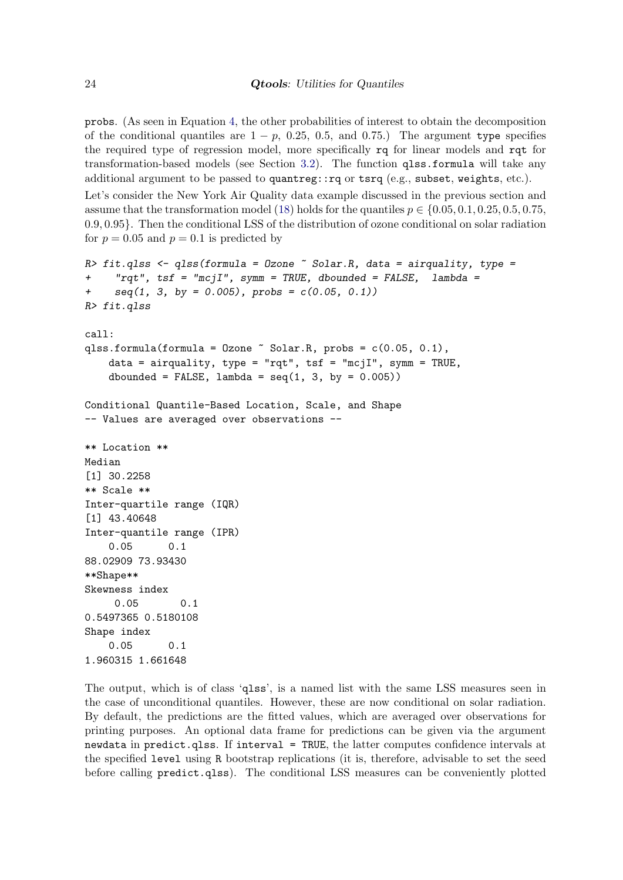probs. (As seen in Equation [4,](#page-5-0) the other probabilities of interest to obtain the decomposition of the conditional quantiles are  $1 - p$ , 0.25, 0.5, and 0.75.) The argument type specifies the required type of regression model, more specifically rq for linear models and rqt for transformation-based models (see Section [3.2\)](#page-13-0). The function qlss.formula will take any additional argument to be passed to quantreg::rq or tsrq (e.g., subset, weights, etc.).

Let's consider the New York Air Quality data example discussed in the previous section and assume that the transformation model [\(18\)](#page-18-1) holds for the quantiles  $p \in \{0.05, 0.1, 0.25, 0.5, 0.75,$ 0.9, 0.95}. Then the conditional LSS of the distribution of ozone conditional on solar radiation for  $p = 0.05$  and  $p = 0.1$  is predicted by

```
R> fit.qlss <- qlss(formula = 0zone \tilde{ } Solar.R, data = airquality, type =
+ "rqt", tsf = "mcjI", symm = TRUE, dbounded = FALSE, lambda =
     seq(1, 3, by = 0.005), probs = c(0.05, 0.1)R> fit.qlss
call:
qlss.formula(formula = Ozone \tilde{ } Solar.R, probs = c(0.05, 0.1),
    data = airquality, type = "rqt", tsf = "mcjI", symm = TRUE,
    dbounded = FALSE, lambda = seq(1, 3, by = 0.005))
Conditional Quantile-Based Location, Scale, and Shape
-- Values are averaged over observations --
** Location **
Median
[1] 30.2258
** Scale **
Inter-quartile range (IQR)
[1] 43.40648
Inter-quantile range (IPR)
    0.05 0.1
88.02909 73.93430
**Shape**
Skewness index
     0.05 0.1
0.5497365 0.5180108
Shape index
    0.05 0.1
1.960315 1.661648
```
The output, which is of class 'qlss', is a named list with the same LSS measures seen in the case of unconditional quantiles. However, these are now conditional on solar radiation. By default, the predictions are the fitted values, which are averaged over observations for printing purposes. An optional data frame for predictions can be given via the argument newdata in predict.qlss. If interval = TRUE, the latter computes confidence intervals at the specified level using R bootstrap replications (it is, therefore, advisable to set the seed before calling predict.qlss). The conditional LSS measures can be conveniently plotted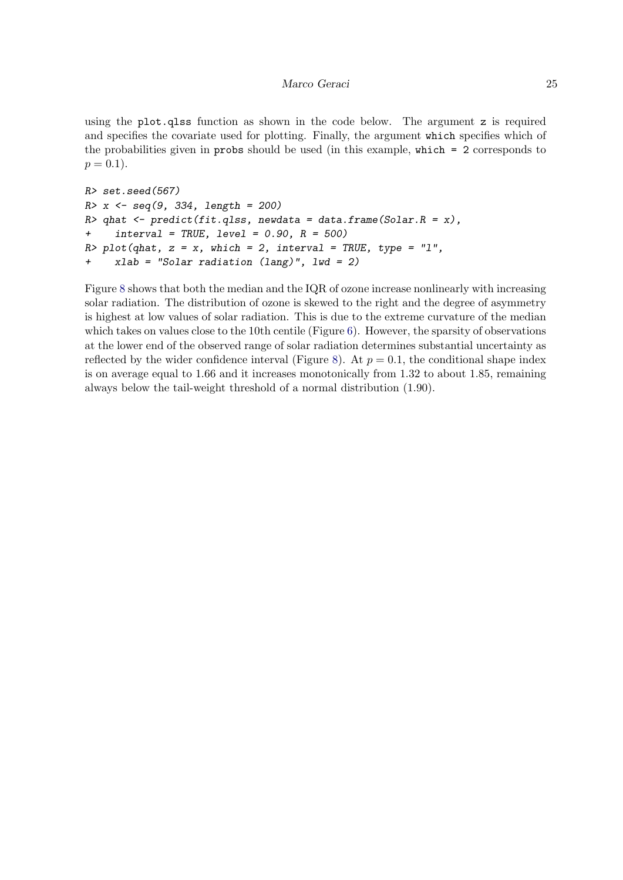using the plot.qlss function as shown in the code below. The argument z is required and specifies the covariate used for plotting. Finally, the argument which specifies which of the probabilities given in probs should be used (in this example, which = 2 corresponds to  $p = 0.1$ ).

```
R> set.seed(567)
R > x <- seq(9, 334, length = 200)
R> qhat <- predict(fit.qlss, newdata = data.frame(Solar.R = x),
     interval = TRUE, level = 0.90, R = 500)R> plot(qhat, z = x, which = 2, interval = TRUE, type = "1",
+ xlab = "Solar radiation (lang)", lwd = 2)
```
Figure [8](#page-25-0) shows that both the median and the IQR of ozone increase nonlinearly with increasing solar radiation. The distribution of ozone is skewed to the right and the degree of asymmetry is highest at low values of solar radiation. This is due to the extreme curvature of the median which takes on values close to the 10th centile (Figure  $6$ ). However, the sparsity of observations at the lower end of the observed range of solar radiation determines substantial uncertainty as reflected by the wider confidence interval (Figure [8\)](#page-25-0). At  $p = 0.1$ , the conditional shape index is on average equal to 1.66 and it increases monotonically from 1.32 to about 1.85, remaining always below the tail-weight threshold of a normal distribution (1.90).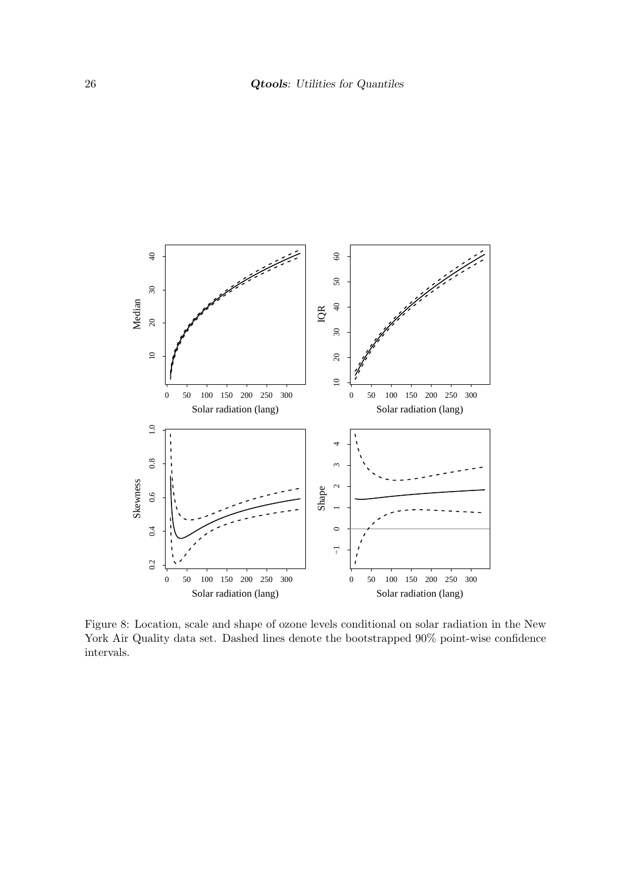

<span id="page-25-0"></span>Figure 8: Location, scale and shape of ozone levels conditional on solar radiation in the New York Air Quality data set. Dashed lines denote the bootstrapped 90% point-wise confidence intervals.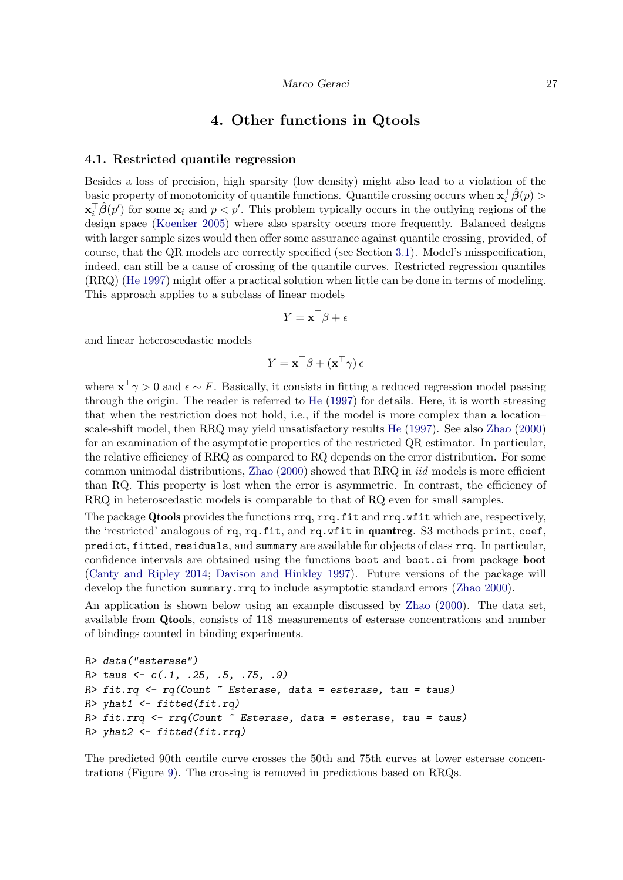## 4. Other functions in Qtools

#### 4.1. Restricted quantile regression

Besides a loss of precision, high sparsity (low density) might also lead to a violation of the basic property of monotonicity of quantile functions. Quantile crossing occurs when  $\mathbf{x}_i^T \hat{\boldsymbol{\beta}}(p)$  $\mathbf{x}_i^{\top} \hat{\boldsymbol{\beta}}(p')$  for some  $\mathbf{x}_i$  and  $p < p'$ . This problem typically occurs in the outlying regions of the design space [\(Koenker](#page-32-2) [2005\)](#page-32-2) where also sparsity occurs more frequently. Balanced designs with larger sample sizes would then offer some assurance against quantile crossing, provided, of course, that the QR models are correctly specified (see Section [3.1\)](#page-7-1). Model's misspecification, indeed, can still be a cause of crossing of the quantile curves. Restricted regression quantiles (RRQ) [\(He](#page-32-17) [1997\)](#page-32-17) might offer a practical solution when little can be done in terms of modeling. This approach applies to a subclass of linear models

$$
Y = \mathbf{x}^\top \boldsymbol{\beta} + \boldsymbol{\epsilon}
$$

and linear heteroscedastic models

$$
Y = \mathbf{x}^\top \beta + (\mathbf{x}^\top \gamma) \epsilon
$$

where  $\mathbf{x}^{\top} \gamma > 0$  and  $\epsilon \sim F$ . Basically, it consists in fitting a reduced regression model passing through the origin. The reader is referred to [He](#page-32-17) [\(1997\)](#page-32-17) for details. Here, it is worth stressing that when the restriction does not hold, i.e., if the model is more complex than a location– scale-shift model, then RRQ may yield unsatisfactory results [He](#page-32-17) [\(1997\)](#page-32-17). See also [Zhao](#page-34-11) [\(2000\)](#page-34-11) for an examination of the asymptotic properties of the restricted QR estimator. In particular, the relative efficiency of RRQ as compared to RQ depends on the error distribution. For some common unimodal distributions, [Zhao](#page-34-11) [\(2000\)](#page-34-11) showed that RRQ in iid models is more efficient than RQ. This property is lost when the error is asymmetric. In contrast, the efficiency of RRQ in heteroscedastic models is comparable to that of RQ even for small samples.

The package Qtools provides the functions rrq, rrq.fit and rrq.wfit which are, respectively, the 'restricted' analogous of rq, rq.fit, and rq.wfit in quantreg. S3 methods print, coef, predict, fitted, residuals, and summary are available for objects of class rrq. In particular, confidence intervals are obtained using the functions boot and boot.ci from package boot [\(Canty and Ripley](#page-31-13) [2014;](#page-31-13) [Davison and Hinkley](#page-31-14) [1997\)](#page-31-14). Future versions of the package will develop the function summary.rrq to include asymptotic standard errors [\(Zhao](#page-34-11) [2000\)](#page-34-11).

An application is shown below using an example discussed by [Zhao](#page-34-11) [\(2000\)](#page-34-11). The data set, available from Qtools, consists of 118 measurements of esterase concentrations and number of bindings counted in binding experiments.

```
R> data("esterase")
R > \text{taus} < -c(.1, .25, .5, .75, .9)R> fit.rq <- rq(Count \tilde{c} Esterase, data = esterase, tau = taus)
R> yhat1 <- fitted(fit.rq)
R> fit.rrq <- rrq(Count \tilde{c} Esterase, data = esterase, tau = taus)
R> yhat2 <- fitted(fit.rrq)
```
The predicted 90th centile curve crosses the 50th and 75th curves at lower esterase concentrations (Figure [9\)](#page-27-0). The crossing is removed in predictions based on RRQs.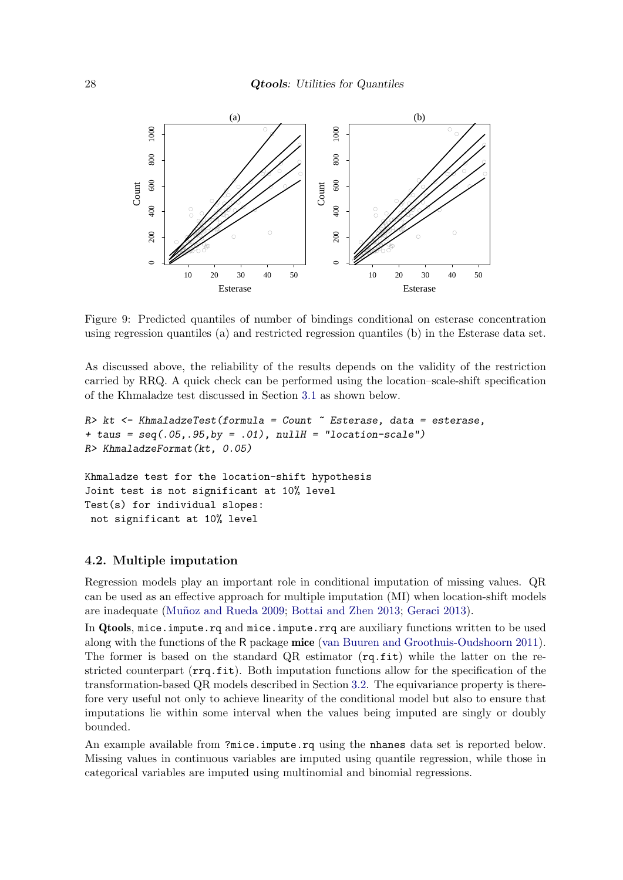

<span id="page-27-0"></span>Figure 9: Predicted quantiles of number of bindings conditional on esterase concentration using regression quantiles (a) and restricted regression quantiles (b) in the Esterase data set.

As discussed above, the reliability of the results depends on the validity of the restriction carried by RRQ. A quick check can be performed using the location–scale-shift specification of the Khmaladze test discussed in Section [3.1](#page-7-1) as shown below.

```
R> kt <- KhmaladzeTest(formula = Count \tilde{c} Esterase, data = esterase,
+ taus = seq(.05, .95, by = .01), nullH = "location-scale")
R> KhmaladzeFormat(kt, 0.05)
```
Khmaladze test for the location-shift hypothesis Joint test is not significant at 10% level Test(s) for individual slopes: not significant at 10% level

### 4.2. Multiple imputation

Regression models play an important role in conditional imputation of missing values. QR can be used as an effective approach for multiple imputation (MI) when location-shift models are inadequate (Muñoz and Rueda [2009;](#page-33-13) [Bottai and Zhen](#page-30-5) [2013;](#page-30-5) [Geraci](#page-31-15) [2013\)](#page-31-15).

In Qtools, mice.impute.rq and mice.impute.rrq are auxiliary functions written to be used along with the functions of the R package mice [\(van Buuren and Groothuis-Oudshoorn](#page-34-12) [2011\)](#page-34-12). The former is based on the standard QR estimator  $(rq.fit)$  while the latter on the restricted counterpart  $(\text{rrg.fit})$ . Both imputation functions allow for the specification of the transformation-based QR models described in Section [3.2.](#page-13-0) The equivariance property is therefore very useful not only to achieve linearity of the conditional model but also to ensure that imputations lie within some interval when the values being imputed are singly or doubly bounded.

An example available from ?mice.impute.rq using the nhanes data set is reported below. Missing values in continuous variables are imputed using quantile regression, while those in categorical variables are imputed using multinomial and binomial regressions.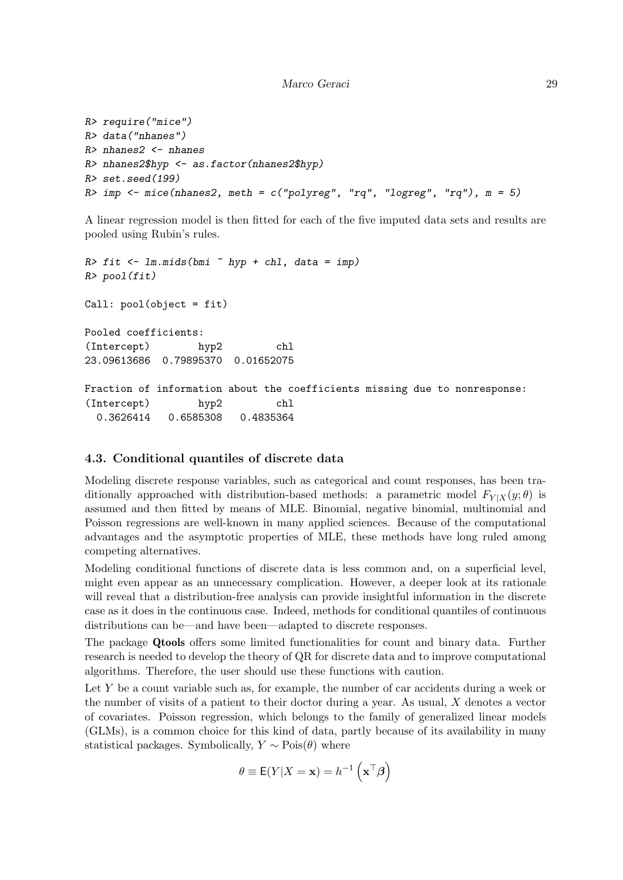```
R> require("mice")
R> data("nhanes")
R> nhanes2 \leq nhanes
R> nhanes2$hyp <- as.factor(nhanes2$hyp)
R> set.seed(199)
R> imp <- mice(nhanes2, meth = c("polyreg", "rq", "logreg", "rq"), m = 5)
```
A linear regression model is then fitted for each of the five imputed data sets and results are pooled using Rubin's rules.

```
R> fit \leq 1m.mids(bmi \sim hyp + chl, data = imp)
R> pool(fit)
Call: pool(object = fit)
Pooled coefficients:
(Intercept) hyp2 chl
23.09613686 0.79895370 0.01652075
Fraction of information about the coefficients missing due to nonresponse:
(Intercept) hyp2 chl
 0.3626414 0.6585308 0.4835364
```
## 4.3. Conditional quantiles of discrete data

Modeling discrete response variables, such as categorical and count responses, has been traditionally approached with distribution-based methods: a parametric model  $F_{Y|X}(y;\theta)$  is assumed and then fitted by means of MLE. Binomial, negative binomial, multinomial and Poisson regressions are well-known in many applied sciences. Because of the computational advantages and the asymptotic properties of MLE, these methods have long ruled among competing alternatives.

Modeling conditional functions of discrete data is less common and, on a superficial level, might even appear as an unnecessary complication. However, a deeper look at its rationale will reveal that a distribution-free analysis can provide insightful information in the discrete case as it does in the continuous case. Indeed, methods for conditional quantiles of continuous distributions can be—and have been—adapted to discrete responses.

The package Qtools offers some limited functionalities for count and binary data. Further research is needed to develop the theory of QR for discrete data and to improve computational algorithms. Therefore, the user should use these functions with caution.

Let  $Y$  be a count variable such as, for example, the number of car accidents during a week or the number of visits of a patient to their doctor during a year. As usual,  $X$  denotes a vector of covariates. Poisson regression, which belongs to the family of generalized linear models (GLMs), is a common choice for this kind of data, partly because of its availability in many statistical packages. Symbolically,  $Y \sim \text{Pois}(\theta)$  where

$$
\theta \equiv \mathsf{E}(Y|X=\mathbf{x}) = h^{-1}\left(\mathbf{x}^\top \boldsymbol{\beta}\right)
$$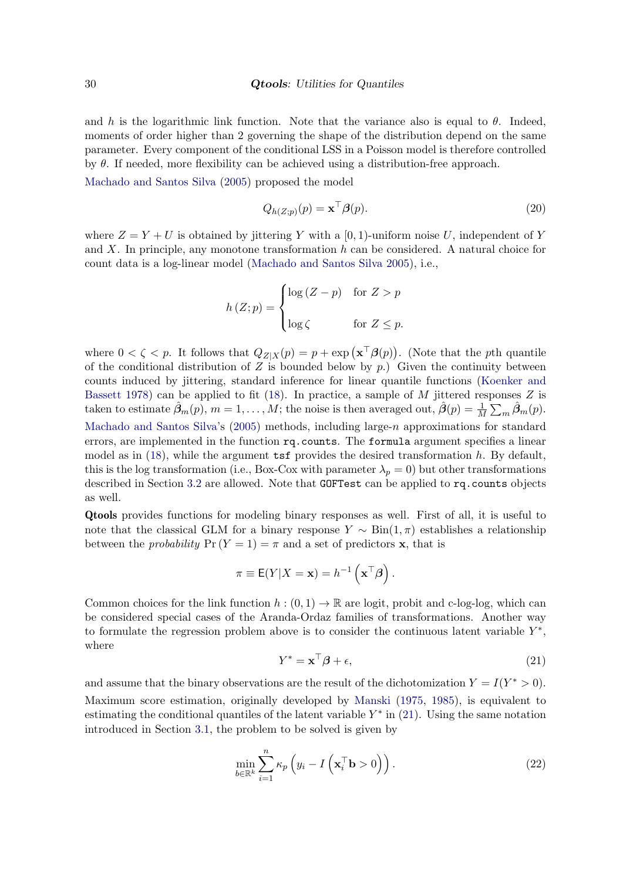and h is the logarithmic link function. Note that the variance also is equal to  $\theta$ . Indeed, moments of order higher than 2 governing the shape of the distribution depend on the same parameter. Every component of the conditional LSS in a Poisson model is therefore controlled by  $\theta$ . If needed, more flexibility can be achieved using a distribution-free approach.

[Machado and Santos Silva](#page-33-2) [\(2005\)](#page-33-2) proposed the model

$$
Q_{h(Z;p)}(p) = \mathbf{x}^\top \boldsymbol{\beta}(p). \tag{20}
$$

where  $Z = Y + U$  is obtained by jittering Y with a [0, 1)-uniform noise U, independent of Y and X. In principle, any monotone transformation h can be considered. A natural choice for count data is a log-linear model [\(Machado and Santos Silva](#page-33-2) [2005\)](#page-33-2), i.e.,

$$
h(Z; p) = \begin{cases} \log(Z - p) & \text{for } Z > p \\ \log \zeta & \text{for } Z \le p. \end{cases}
$$

where  $0 < \zeta < p$ . It follows that  $Q_{Z|X}(p) = p + \exp(\mathbf{x}^\top \boldsymbol{\beta}(p))$ . (Note that the pth quantile of the conditional distribution of  $Z$  is bounded below by  $p$ .) Given the continuity between counts induced by jittering, standard inference for linear quantile functions [\(Koenker and](#page-32-5) [Bassett](#page-32-5) [1978\)](#page-32-5) can be applied to fit [\(18\)](#page-18-1). In practice, a sample of  $M$  jittered responses  $Z$  is taken to estimate  $\hat{\beta}_m(p), m = 1, \ldots, M$ ; the noise is then averaged out,  $\hat{\beta}(p) = \frac{1}{M} \sum_m \hat{\beta}_m(p)$ . [Machado and Santos Silva'](#page-33-2)s [\(2005\)](#page-33-2) methods, including large-n approximations for standard errors, are implemented in the function rq.counts. The formula argument specifies a linear model as in  $(18)$ , while the argument tsf provides the desired transformation h. By default, this is the log transformation (i.e., Box-Cox with parameter  $\lambda_p = 0$ ) but other transformations described in Section [3.2](#page-13-0) are allowed. Note that GOFTest can be applied to rq.counts objects as well.

Qtools provides functions for modeling binary responses as well. First of all, it is useful to note that the classical GLM for a binary response  $Y \sim Bin(1, \pi)$  establishes a relationship between the *probability*  $Pr(Y = 1) = \pi$  and a set of predictors **x**, that is

$$
\pi \equiv \mathsf{E}(Y|X=\mathbf{x}) = h^{-1}\left(\mathbf{x}^\top \boldsymbol{\beta}\right).
$$

<span id="page-29-0"></span>Common choices for the link function  $h : (0,1) \to \mathbb{R}$  are logit, probit and c-log-log, which can be considered special cases of the Aranda-Ordaz families of transformations. Another way to formulate the regression problem above is to consider the continuous latent variable  $Y^*$ , where

<span id="page-29-1"></span>
$$
Y^* = \mathbf{x}^\top \boldsymbol{\beta} + \epsilon,\tag{21}
$$

and assume that the binary observations are the result of the dichotomization  $Y = I(Y^* > 0)$ . Maximum score estimation, originally developed by [Manski](#page-33-14) [\(1975,](#page-33-14) [1985\)](#page-33-15), is equivalent to estimating the conditional quantiles of the latent variable  $Y^*$  in [\(21\)](#page-29-0). Using the same notation introduced in Section [3.1,](#page-7-1) the problem to be solved is given by

$$
\min_{b \in \mathbb{R}^k} \sum_{i=1}^n \kappa_p \left( y_i - I \left( \mathbf{x}_i^\top \mathbf{b} > 0 \right) \right). \tag{22}
$$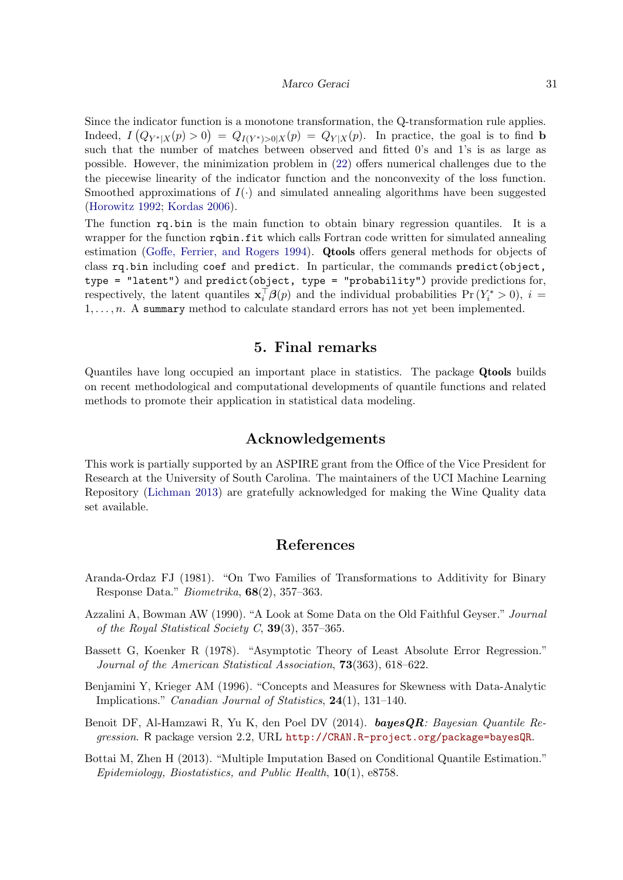#### Marco Geraci 31

Since the indicator function is a monotone transformation, the Q-transformation rule applies. Indeed,  $I(Q_{Y^*|X}(p) > 0) = Q_{I(Y^*)>0|X}(p) = Q_{Y|X}(p)$ . In practice, the goal is to find b such that the number of matches between observed and fitted 0's and 1's is as large as possible. However, the minimization problem in [\(22\)](#page-29-1) offers numerical challenges due to the the piecewise linearity of the indicator function and the nonconvexity of the loss function. Smoothed approximations of  $I(\cdot)$  and simulated annealing algorithms have been suggested [\(Horowitz](#page-32-18) [1992;](#page-32-18) [Kordas](#page-33-16) [2006\)](#page-33-16).

The function rq.bin is the main function to obtain binary regression quantiles. It is a wrapper for the function rqbin.fit which calls Fortran code written for simulated annealing estimation [\(Goffe, Ferrier, and Rogers](#page-31-16) [1994\)](#page-31-16). Qtools offers general methods for objects of class rq.bin including coef and predict. In particular, the commands predict(object, type = "latent") and predict(object, type = "probability") provide predictions for, respectively, the latent quantiles  $\mathbf{x}_i^{\top} \boldsymbol{\beta}(p)$  and the individual probabilities  $Pr(Y_i^* > 0)$ ,  $i =$  $1, \ldots, n$ . A summary method to calculate standard errors has not yet been implemented.

## 5. Final remarks

Quantiles have long occupied an important place in statistics. The package Qtools builds on recent methodological and computational developments of quantile functions and related methods to promote their application in statistical data modeling.

## Acknowledgements

This work is partially supported by an ASPIRE grant from the Office of the Vice President for Research at the University of South Carolina. The maintainers of the UCI Machine Learning Repository [\(Lichman](#page-33-17) [2013\)](#page-33-17) are gratefully acknowledged for making the Wine Quality data set available.

## References

- <span id="page-30-4"></span>Aranda-Ordaz FJ (1981). "On Two Families of Transformations to Additivity for Binary Response Data." Biometrika, 68(2), 357–363.
- <span id="page-30-3"></span>Azzalini A, Bowman AW (1990). "A Look at Some Data on the Old Faithful Geyser." Journal of the Royal Statistical Society C,  $39(3)$ ,  $357-365$ .
- <span id="page-30-0"></span>Bassett G, Koenker R (1978). "Asymptotic Theory of Least Absolute Error Regression." Journal of the American Statistical Association, 73(363), 618–622.
- <span id="page-30-2"></span>Benjamini Y, Krieger AM (1996). "Concepts and Measures for Skewness with Data-Analytic Implications." Canadian Journal of Statistics, 24(1), 131–140.
- <span id="page-30-1"></span>Benoit DF, Al-Hamzawi R, Yu K, den Poel DV  $(2014)$ . **bayesQR**: Bayesian Quantile Regression. R package version 2.2, URL <http://CRAN.R-project.org/package=bayesQR>.

<span id="page-30-5"></span>Bottai M, Zhen H (2013). "Multiple Imputation Based on Conditional Quantile Estimation." Epidemiology, Biostatistics, and Public Health, 10(1), e8758.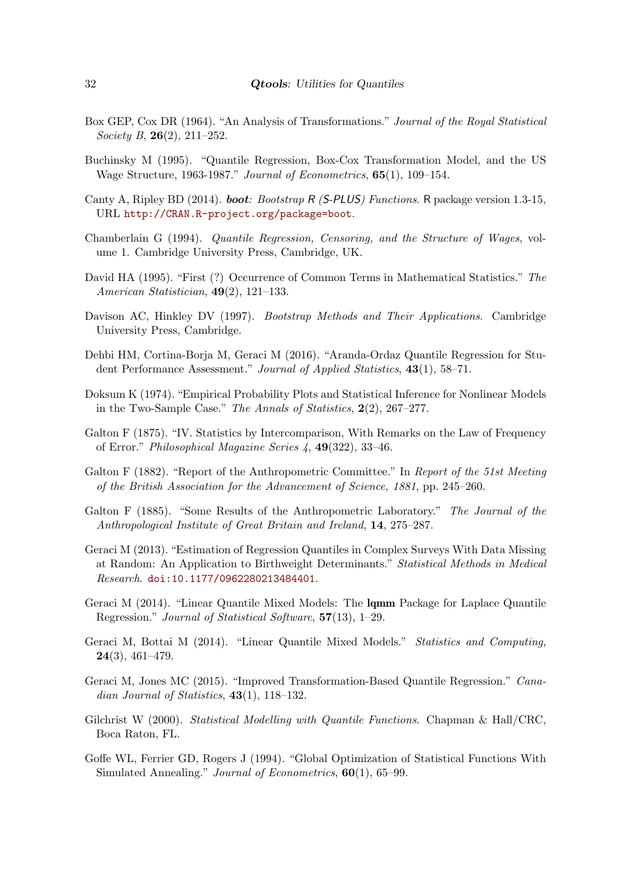- <span id="page-31-11"></span>Box GEP, Cox DR (1964). "An Analysis of Transformations." Journal of the Royal Statistical Society B, 26(2), 211–252.
- <span id="page-31-12"></span>Buchinsky M (1995). "Quantile Regression, Box-Cox Transformation Model, and the US Wage Structure, 1963-1987." Journal of Econometrics, 65(1), 109–154.
- <span id="page-31-13"></span>Canty A, Ripley BD (2014). **boot**: Bootstrap R (S-PLUS) Functions. R package version 1.3-15, URL <http://CRAN.R-project.org/package=boot>.
- <span id="page-31-8"></span>Chamberlain G (1994). Quantile Regression, Censoring, and the Structure of Wages, volume 1. Cambridge University Press, Cambridge, UK.
- <span id="page-31-3"></span>David HA (1995). "First (?) Occurrence of Common Terms in Mathematical Statistics." The American Statistician, 49(2), 121–133.
- <span id="page-31-14"></span>Davison AC, Hinkley DV (1997). *Bootstrap Methods and Their Applications*. Cambridge University Press, Cambridge.
- <span id="page-31-9"></span>Dehbi HM, Cortina-Borja M, Geraci M (2016). "Aranda-Ordaz Quantile Regression for Student Performance Assessment." Journal of Applied Statistics, 43(1), 58–71.
- <span id="page-31-7"></span>Doksum K (1974). "Empirical Probability Plots and Statistical Inference for Nonlinear Models in the Two-Sample Case." The Annals of Statistics, 2(2), 267–277.
- <span id="page-31-2"></span>Galton F (1875). "IV. Statistics by Intercomparison, With Remarks on the Law of Frequency of Error." Philosophical Magazine Series 4, 49(322), 33–46.
- <span id="page-31-0"></span>Galton F (1882). "Report of the Anthropometric Committee." In Report of the 51st Meeting of the British Association for the Advancement of Science, 1881, pp. 245–260.
- <span id="page-31-1"></span>Galton F (1885). "Some Results of the Anthropometric Laboratory." The Journal of the Anthropological Institute of Great Britain and Ireland, 14, 275–287.
- <span id="page-31-15"></span>Geraci M (2013). "Estimation of Regression Quantiles in Complex Surveys With Data Missing at Random: An Application to Birthweight Determinants." Statistical Methods in Medical Research. [doi:10.1177/0962280213484401](http://dx.doi.org/10.1177/0962280213484401).
- <span id="page-31-5"></span>Geraci M (2014). "Linear Quantile Mixed Models: The lqmm Package for Laplace Quantile Regression." Journal of Statistical Software, 57(13), 1–29.
- <span id="page-31-4"></span>Geraci M, Bottai M (2014). "Linear Quantile Mixed Models." Statistics and Computing, 24(3), 461–479.
- <span id="page-31-10"></span>Geraci M, Jones MC (2015). "Improved Transformation-Based Quantile Regression." Canadian Journal of Statistics,  $43(1)$ ,  $118-132$ .
- <span id="page-31-6"></span>Gilchrist W (2000). *Statistical Modelling with Quantile Functions*. Chapman & Hall/CRC, Boca Raton, FL.
- <span id="page-31-16"></span>Goffe WL, Ferrier GD, Rogers J (1994). "Global Optimization of Statistical Functions With Simulated Annealing." *Journal of Econometrics*,  $60(1)$ ,  $65-99$ .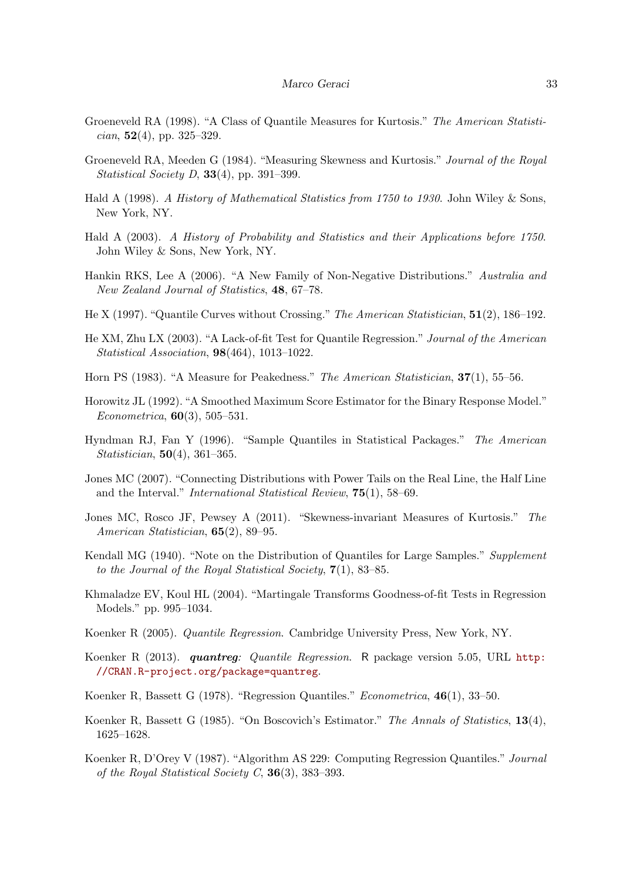- <span id="page-32-11"></span>Groeneveld RA (1998). "A Class of Quantile Measures for Kurtosis." The American Statistician,  $52(4)$ , pp. 325–329.
- <span id="page-32-10"></span>Groeneveld RA, Meeden G (1984). "Measuring Skewness and Kurtosis." Journal of the Royal Statistical Society D,  $33(4)$ , pp. 391–399.
- <span id="page-32-4"></span>Hald A (1998). A History of Mathematical Statistics from 1750 to 1930. John Wiley & Sons, New York, NY.
- <span id="page-32-0"></span>Hald A (2003). A History of Probability and Statistics and their Applications before 1750. John Wiley & Sons, New York, NY.
- <span id="page-32-6"></span>Hankin RKS, Lee A (2006). "A New Family of Non-Negative Distributions." Australia and New Zealand Journal of Statistics, 48, 67–78.
- <span id="page-32-17"></span>He X (1997). "Quantile Curves without Crossing." The American Statistician, 51(2), 186–192.
- <span id="page-32-14"></span>He XM, Zhu LX (2003). "A Lack-of-fit Test for Quantile Regression." Journal of the American Statistical Association, 98(464), 1013–1022.
- <span id="page-32-13"></span>Horn PS (1983). "A Measure for Peakedness." The American Statistician, 37(1), 55–56.
- <span id="page-32-18"></span>Horowitz JL (1992). "A Smoothed Maximum Score Estimator for the Binary Response Model." Econometrica,  $60(3)$ , 505-531.
- <span id="page-32-9"></span>Hyndman RJ, Fan Y (1996). "Sample Quantiles in Statistical Packages." The American Statistician, 50(4), 361–365.
- <span id="page-32-16"></span>Jones MC (2007). "Connecting Distributions with Power Tails on the Real Line, the Half Line and the Interval." International Statistical Review, 75(1), 58–69.
- <span id="page-32-12"></span>Jones MC, Rosco JF, Pewsey A (2011). "Skewness-invariant Measures of Kurtosis." The American Statistician, **65**(2), 89–95.
- <span id="page-32-3"></span>Kendall MG (1940). "Note on the Distribution of Quantiles for Large Samples." Supplement to the Journal of the Royal Statistical Society,  $7(1)$ , 83-85.
- <span id="page-32-15"></span>Khmaladze EV, Koul HL (2004). "Martingale Transforms Goodness-of-fit Tests in Regression Models." pp. 995–1034.
- <span id="page-32-2"></span>Koenker R (2005). Quantile Regression. Cambridge University Press, New York, NY.
- <span id="page-32-7"></span>Koenker R (2013). *quantreg: Quantile Regression*. R package version 5.05, URL [http:](http://CRAN.R-project.org/package=quantreg) [//CRAN.R-project.org/package=quantreg](http://CRAN.R-project.org/package=quantreg).
- <span id="page-32-5"></span>Koenker R, Bassett G (1978). "Regression Quantiles." Econometrica, 46(1), 33–50.
- <span id="page-32-1"></span>Koenker R, Bassett G (1985). "On Boscovich's Estimator." The Annals of Statistics, 13(4), 1625–1628.
- <span id="page-32-8"></span>Koenker R, D'Orey V (1987). "Algorithm AS 229: Computing Regression Quantiles." Journal of the Royal Statistical Society C,  $36(3)$ ,  $383-393$ .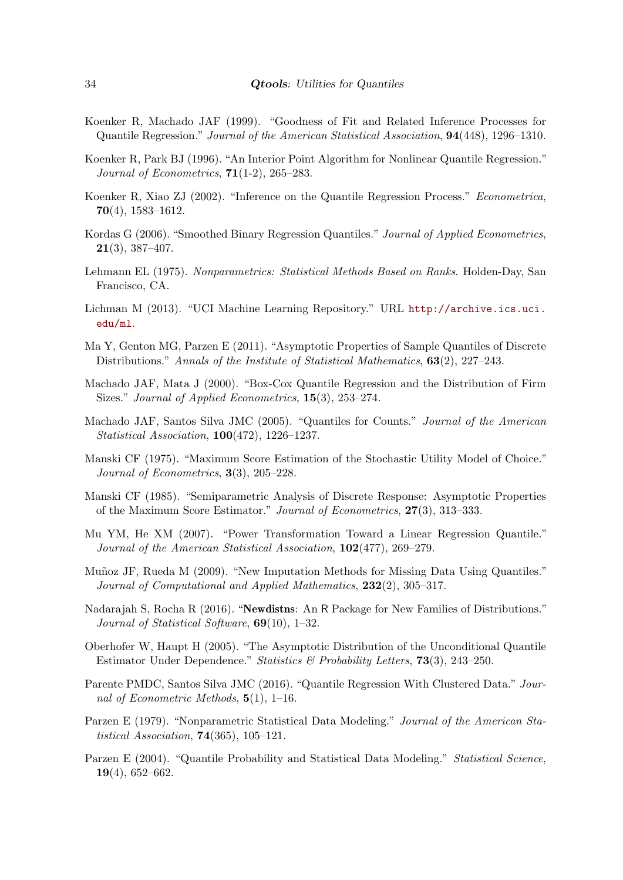- <span id="page-33-10"></span>Koenker R, Machado JAF (1999). "Goodness of Fit and Related Inference Processes for Quantile Regression." Journal of the American Statistical Association, 94(448), 1296–1310.
- <span id="page-33-6"></span>Koenker R, Park BJ (1996). "An Interior Point Algorithm for Nonlinear Quantile Regression." Journal of Econometrics,  $71(1-2)$ ,  $265-283$ .
- <span id="page-33-9"></span>Koenker R, Xiao ZJ (2002). "Inference on the Quantile Regression Process." Econometrica,  $70(4)$ , 1583–1612.
- <span id="page-33-16"></span>Kordas G (2006). "Smoothed Binary Regression Quantiles." Journal of Applied Econometrics, 21(3), 387–407.
- <span id="page-33-8"></span>Lehmann EL (1975). Nonparametrics: Statistical Methods Based on Ranks. Holden-Day, San Francisco, CA.
- <span id="page-33-17"></span>Lichman M (2013). "UCI Machine Learning Repository." URL [http://archive.ics.uci.](http://archive.ics.uci.edu/ml) [edu/ml](http://archive.ics.uci.edu/ml).
- <span id="page-33-0"></span>Ma Y, Genton MG, Parzen E (2011). "Asymptotic Properties of Sample Quantiles of Discrete Distributions." Annals of the Institute of Statistical Mathematics, 63(2), 227–243.
- <span id="page-33-12"></span>Machado JAF, Mata J (2000). "Box-Cox Quantile Regression and the Distribution of Firm Sizes." Journal of Applied Econometrics, 15(3), 253–274.
- <span id="page-33-2"></span>Machado JAF, Santos Silva JMC (2005). "Quantiles for Counts." Journal of the American Statistical Association, 100(472), 1226–1237.
- <span id="page-33-14"></span>Manski CF (1975). "Maximum Score Estimation of the Stochastic Utility Model of Choice." Journal of Econometrics, 3(3), 205–228.
- <span id="page-33-15"></span>Manski CF (1985). "Semiparametric Analysis of Discrete Response: Asymptotic Properties of the Maximum Score Estimator." Journal of Econometrics, 27(3), 313–333.
- <span id="page-33-11"></span>Mu YM, He XM (2007). "Power Transformation Toward a Linear Regression Quantile." Journal of the American Statistical Association, 102(477), 269–279.
- <span id="page-33-13"></span>Muñoz JF, Rueda M (2009). "New Imputation Methods for Missing Data Using Quantiles." Journal of Computational and Applied Mathematics, 232(2), 305–317.
- <span id="page-33-5"></span>Nadarajah S, Rocha R (2016). "Newdistns: An R Package for New Families of Distributions." Journal of Statistical Software, 69(10), 1–32.
- <span id="page-33-3"></span>Oberhofer W, Haupt H (2005). "The Asymptotic Distribution of the Unconditional Quantile Estimator Under Dependence." Statistics & Probability Letters, 73(3), 243–250.
- <span id="page-33-4"></span>Parente PMDC, Santos Silva JMC (2016). "Quantile Regression With Clustered Data." Journal of Econometric Methods,  $5(1)$ , 1–16.
- <span id="page-33-7"></span>Parzen E (1979). "Nonparametric Statistical Data Modeling." Journal of the American Statistical Association,  $74(365)$ ,  $105-121$ .
- <span id="page-33-1"></span>Parzen E (2004). "Quantile Probability and Statistical Data Modeling." Statistical Science, 19(4), 652–662.